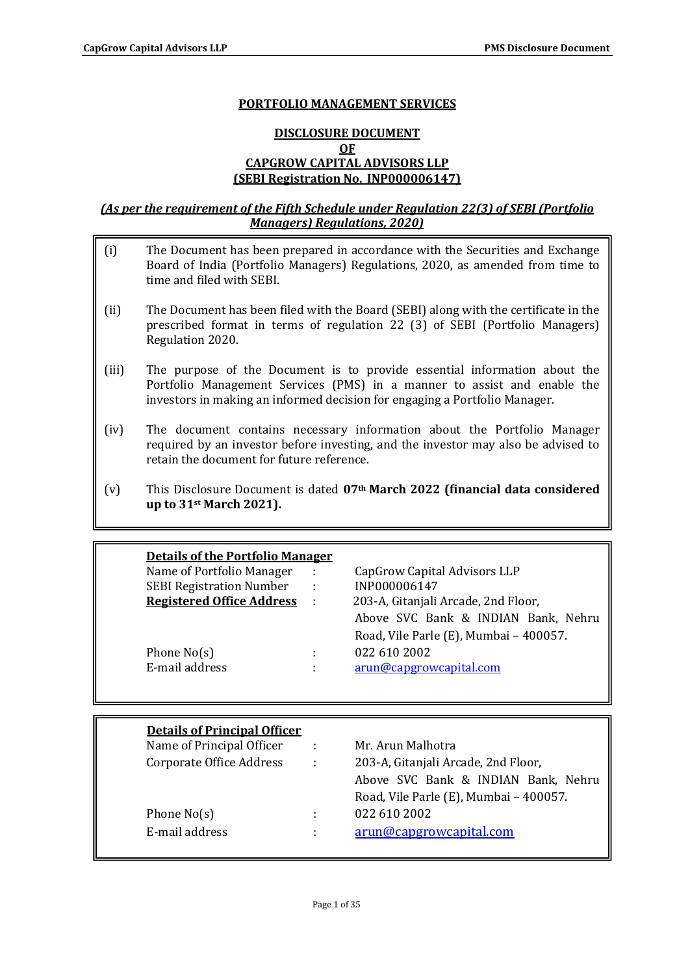### **PORTFOLIO MANAGEMENT SERVICES**

# **DISCLOSURE DOCUMENT OF CAPGROW CAPITAL ADVISORS LLP (SEBI Registration No.\_INP000006147)**

## *(As per the requirement of the Fifth Schedule under Regulation 22(3) of SEBI (Portfolio Managers) Regulations, 2020)*

- (i) The Document has been prepared in accordance with the Securities and Exchange Board of India (Portfolio Managers) Regulations, 2020, as amended from time to time and filed with SEBI.
- (ii) The Document has been filed with the Board (SEBI) along with the certificate in the prescribed format in terms of regulation 22 (3) of SEBI (Portfolio Managers) Regulation 2020.
- (iii) The purpose of the Document is to provide essential information about the Portfolio Management Services (PMS) in a manner to assist and enable the investors in making an informed decision for engaging a Portfolio Manager.
- (iv) The document contains necessary information about the Portfolio Manager required by an investor before investing, and the investor may also be advised to retain the document for future reference.
- (v) This Disclosure Document is dated **07th March 2022 (financial data considered up to 31st March 2021).**

| <b>Details of the Portfolio Manager</b> |          |                                        |
|-----------------------------------------|----------|----------------------------------------|
| Name of Portfolio Manager               | ÷        | CapGrow Capital Advisors LLP           |
| <b>SEBI Registration Number</b>         | ÷        | INP000006147                           |
| <b>Registered Office Address</b>        | $\sim$ 1 | 203-A, Gitanjali Arcade, 2nd Floor,    |
|                                         |          | Above SVC Bank & INDIAN Bank, Nehru    |
|                                         |          | Road, Vile Parle (E), Mumbai - 400057. |
| Phone $No(s)$                           | ٠        | 022 610 2002                           |
| E-mail address                          | ٠        | arun@capgrowcapital.com                |
|                                         |          |                                        |

| <b>Details of Principal Officer</b> |              |                                        |
|-------------------------------------|--------------|----------------------------------------|
| Name of Principal Officer           | $\cdot$ :    | Mr. Arun Malhotra                      |
| Corporate Office Address            | $\mathbf{L}$ | 203-A, Gitanjali Arcade, 2nd Floor,    |
|                                     |              | Above SVC Bank & INDIAN Bank, Nehru    |
|                                     |              | Road, Vile Parle (E), Mumbai - 400057. |
| Phone $No(s)$                       | ÷            | 022 610 2002                           |
| E-mail address                      | ÷            | arun@capgrowcapital.com                |
|                                     |              |                                        |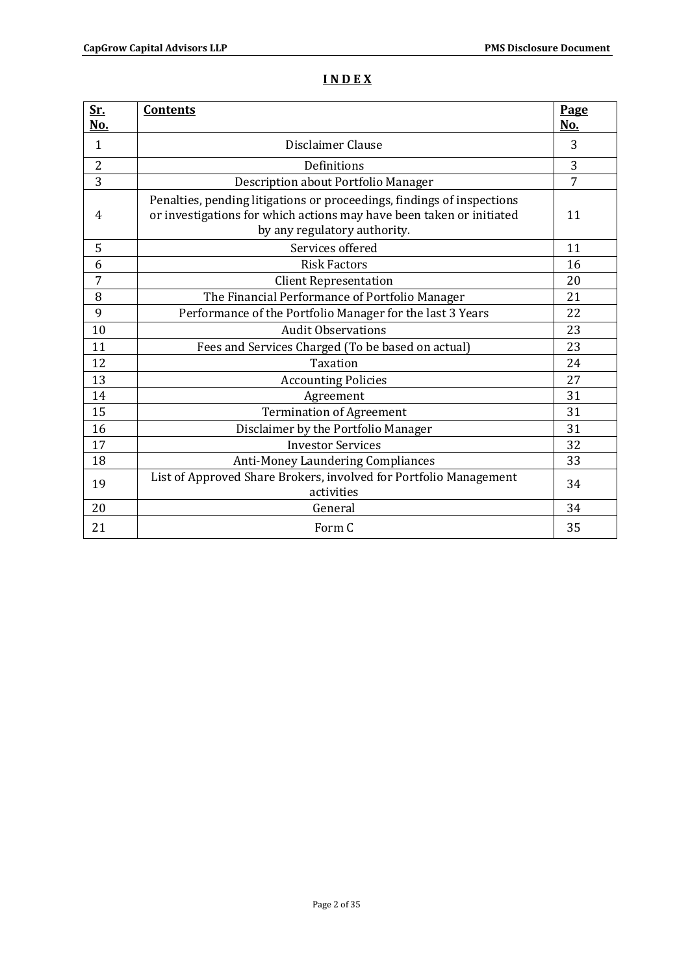# **I N D E X**

| <u>Sr.</u><br>No. | <b>Contents</b>                                                                                                                                                                | Page<br>No.    |
|-------------------|--------------------------------------------------------------------------------------------------------------------------------------------------------------------------------|----------------|
| $\mathbf{1}$      | Disclaimer Clause                                                                                                                                                              | 3              |
| $\overline{2}$    | Definitions                                                                                                                                                                    | 3              |
| 3                 | Description about Portfolio Manager                                                                                                                                            | $\overline{7}$ |
| 4                 | Penalties, pending litigations or proceedings, findings of inspections<br>or investigations for which actions may have been taken or initiated<br>by any regulatory authority. | 11             |
| 5                 | Services offered                                                                                                                                                               | 11             |
| 6                 | <b>Risk Factors</b>                                                                                                                                                            | 16             |
| 7                 | <b>Client Representation</b>                                                                                                                                                   | 20             |
| 8                 | The Financial Performance of Portfolio Manager                                                                                                                                 | 21             |
| 9                 | Performance of the Portfolio Manager for the last 3 Years                                                                                                                      | 22             |
| 10                | <b>Audit Observations</b>                                                                                                                                                      | 23             |
| 11                | Fees and Services Charged (To be based on actual)                                                                                                                              | 23             |
| 12                | <b>Taxation</b>                                                                                                                                                                | 24             |
| 13                | <b>Accounting Policies</b>                                                                                                                                                     | 27             |
| 14                | Agreement                                                                                                                                                                      | 31             |
| 15                | <b>Termination of Agreement</b>                                                                                                                                                | 31             |
| 16                | Disclaimer by the Portfolio Manager                                                                                                                                            | 31             |
| 17                | <b>Investor Services</b>                                                                                                                                                       | 32             |
| 18                | <b>Anti-Money Laundering Compliances</b>                                                                                                                                       | 33             |
| 19                | List of Approved Share Brokers, involved for Portfolio Management<br>activities                                                                                                | 34             |
| 20                | General                                                                                                                                                                        | 34             |
| 21                | Form C                                                                                                                                                                         | 35             |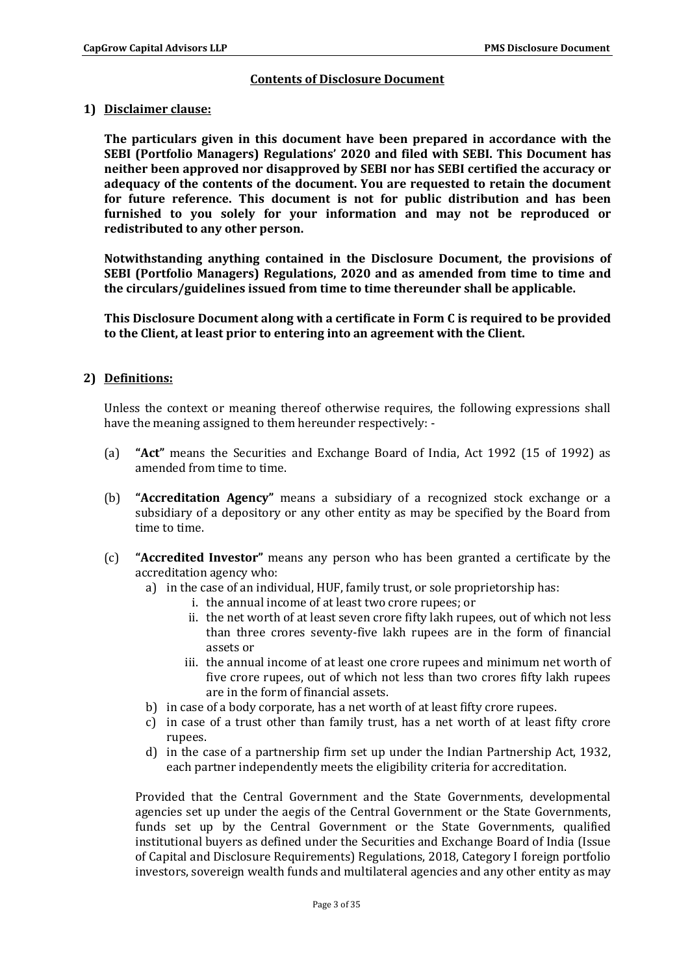# **Contents of Disclosure Document**

### **1) Disclaimer clause:**

**The particulars given in this document have been prepared in accordance with the SEBI (Portfolio Managers) Regulations' 2020 and filed with SEBI. This Document has neither been approved nor disapproved by SEBI nor has SEBI certified the accuracy or adequacy of the contents of the document. You are requested to retain the document for future reference. This document is not for public distribution and has been furnished to you solely for your information and may not be reproduced or redistributed to any other person.**

**Notwithstanding anything contained in the Disclosure Document, the provisions of SEBI (Portfolio Managers) Regulations, 2020 and as amended from time to time and the circulars/guidelines issued from time to time thereunder shall be applicable.**

**This Disclosure Document along with a certificate in Form C is required to be provided to the Client, at least prior to entering into an agreement with the Client.**

# **2) Definitions:**

Unless the context or meaning thereof otherwise requires, the following expressions shall have the meaning assigned to them hereunder respectively: -

- (a) **"Act"** means the Securities and Exchange Board of India, Act 1992 (15 of 1992) as amended from time to time.
- (b) **"Accreditation Agency"** means a subsidiary of a recognized stock exchange or a subsidiary of a depository or any other entity as may be specified by the Board from time to time.
- (c) **"Accredited Investor"** means any person who has been granted a certificate by the accreditation agency who:
	- a) in the case of an individual, HUF, family trust, or sole proprietorship has:
		- i. the annual income of at least two crore rupees; or
		- ii. the net worth of at least seven crore fifty lakh rupees, out of which not less than three crores seventy-five lakh rupees are in the form of financial assets or
		- iii. the annual income of at least one crore rupees and minimum net worth of five crore rupees, out of which not less than two crores fifty lakh rupees are in the form of financial assets.
	- b) in case of a body corporate, has a net worth of at least fifty crore rupees.
	- c) in case of a trust other than family trust, has a net worth of at least fifty crore rupees.
	- d) in the case of a partnership firm set up under the Indian Partnership Act, 1932, each partner independently meets the eligibility criteria for accreditation.

Provided that the Central Government and the State Governments, developmental agencies set up under the aegis of the Central Government or the State Governments, funds set up by the Central Government or the State Governments, qualified institutional buyers as defined under the Securities and Exchange Board of India (Issue of Capital and Disclosure Requirements) Regulations, 2018, Category I foreign portfolio investors, sovereign wealth funds and multilateral agencies and any other entity as may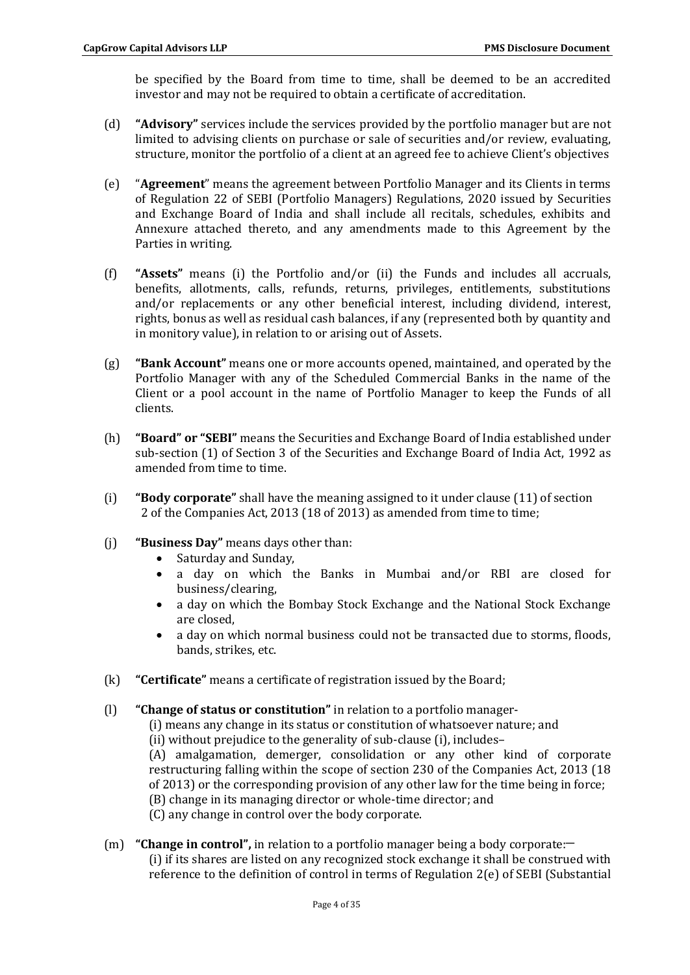be specified by the Board from time to time, shall be deemed to be an accredited investor and may not be required to obtain a certificate of accreditation.

- (d) **"Advisory"** services include the services provided by the portfolio manager but are not limited to advising clients on purchase or sale of securities and/or review, evaluating, structure, monitor the portfolio of a client at an agreed fee to achieve Client's objectives
- (e) "**Agreement**" means the agreement between Portfolio Manager and its Clients in terms of Regulation 22 of SEBI (Portfolio Managers) Regulations, 2020 issued by Securities and Exchange Board of India and shall include all recitals, schedules, exhibits and Annexure attached thereto, and any amendments made to this Agreement by the Parties in writing.
- (f) **"Assets"** means (i) the Portfolio and/or (ii) the Funds and includes all accruals, benefits, allotments, calls, refunds, returns, privileges, entitlements, substitutions and/or replacements or any other beneficial interest, including dividend, interest, rights, bonus as well as residual cash balances, if any (represented both by quantity and in monitory value), in relation to or arising out of Assets.
- (g) **"Bank Account"** means one or more accounts opened, maintained, and operated by the Portfolio Manager with any of the Scheduled Commercial Banks in the name of the Client or a pool account in the name of Portfolio Manager to keep the Funds of all clients.
- (h) **"Board" or "SEBI"** means the Securities and Exchange Board of India established under sub-section (1) of Section 3 of the Securities and Exchange Board of India Act, 1992 as amended from time to time.
- (i) **"Body corporate"** shall have the meaning assigned to it under clause (11) of section 2 of the Companies Act, 2013 (18 of 2013) as amended from time to time;
- (j) **"Business Day"** means days other than:
	- Saturday and Sunday,
	- a day on which the Banks in Mumbai and/or RBI are closed for business/clearing,
	- a day on which the Bombay Stock Exchange and the National Stock Exchange are closed,
	- a day on which normal business could not be transacted due to storms, floods, bands, strikes, etc.
- (k) **"Certificate"** means a certificate of registration issued by the Board;
- (l) **"Change of status or constitution"** in relation to a portfolio manager-
	- (i) means any change in its status or constitution of whatsoever nature; and
		- (ii) without prejudice to the generality of sub-clause (i), includes–
		- (A) amalgamation, demerger, consolidation or any other kind of corporate restructuring falling within the scope of section 230 of the Companies Act, 2013 (18 of 2013) or the corresponding provision of any other law for the time being in force; (B) change in its managing director or whole-time director; and
		- (C) any change in control over the body corporate.
- (m) **"Change in control"**, in relation to a portfolio manager being a body corporate: (i) if its shares are listed on any recognized stock exchange it shall be construed with reference to the definition of control in terms of Regulation 2(e) of SEBI (Substantial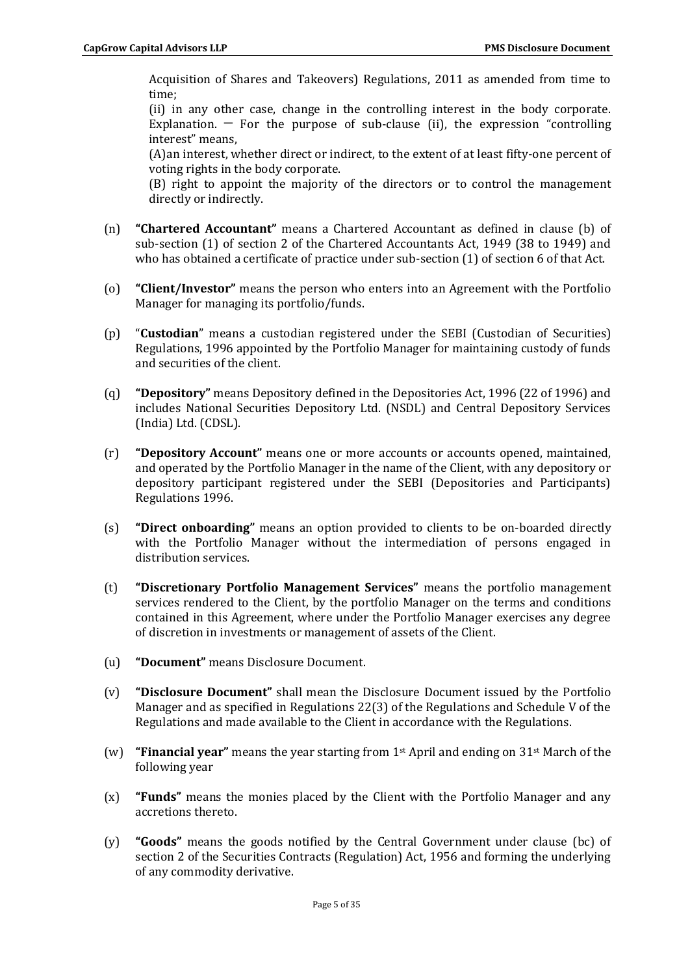Acquisition of Shares and Takeovers) Regulations, 2011 as amended from time to time;

(ii) in any other case, change in the controlling interest in the body corporate. Explanation.  $-$  For the purpose of sub-clause (ii), the expression "controlling interest" means,

(A)an interest, whether direct or indirect, to the extent of at least fifty-one percent of voting rights in the body corporate.

(B) right to appoint the majority of the directors or to control the management directly or indirectly.

- (n) **"Chartered Accountant"** means a Chartered Accountant as defined in clause (b) of sub-section (1) of section 2 of the Chartered Accountants Act, 1949 (38 to 1949) and who has obtained a certificate of practice under sub-section (1) of section 6 of that Act.
- (o) **"Client/Investor"** means the person who enters into an Agreement with the Portfolio Manager for managing its portfolio/funds.
- (p) "**Custodian**" means a custodian registered under the SEBI (Custodian of Securities) Regulations, 1996 appointed by the Portfolio Manager for maintaining custody of funds and securities of the client.
- (q) **"Depository"** means Depository defined in the Depositories Act, 1996 (22 of 1996) and includes National Securities Depository Ltd. (NSDL) and Central Depository Services (India) Ltd. (CDSL).
- (r) **"Depository Account"** means one or more accounts or accounts opened, maintained, and operated by the Portfolio Manager in the name of the Client, with any depository or depository participant registered under the SEBI (Depositories and Participants) Regulations 1996.
- (s) **"Direct onboarding"** means an option provided to clients to be on-boarded directly with the Portfolio Manager without the intermediation of persons engaged in distribution services.
- (t) **"Discretionary Portfolio Management Services"** means the portfolio management services rendered to the Client, by the portfolio Manager on the terms and conditions contained in this Agreement, where under the Portfolio Manager exercises any degree of discretion in investments or management of assets of the Client.
- (u) **"Document"** means Disclosure Document.
- (v) **"Disclosure Document"** shall mean the Disclosure Document issued by the Portfolio Manager and as specified in Regulations 22(3) of the Regulations and Schedule V of the Regulations and made available to the Client in accordance with the Regulations.
- (w) **"Financial year"** means the year starting from 1st April and ending on 31st March of the following year
- (x) **"Funds"** means the monies placed by the Client with the Portfolio Manager and any accretions thereto.
- (y) **"Goods"** means the goods notified by the Central Government under clause (bc) of section 2 of the Securities Contracts (Regulation) Act, 1956 and forming the underlying of any commodity derivative.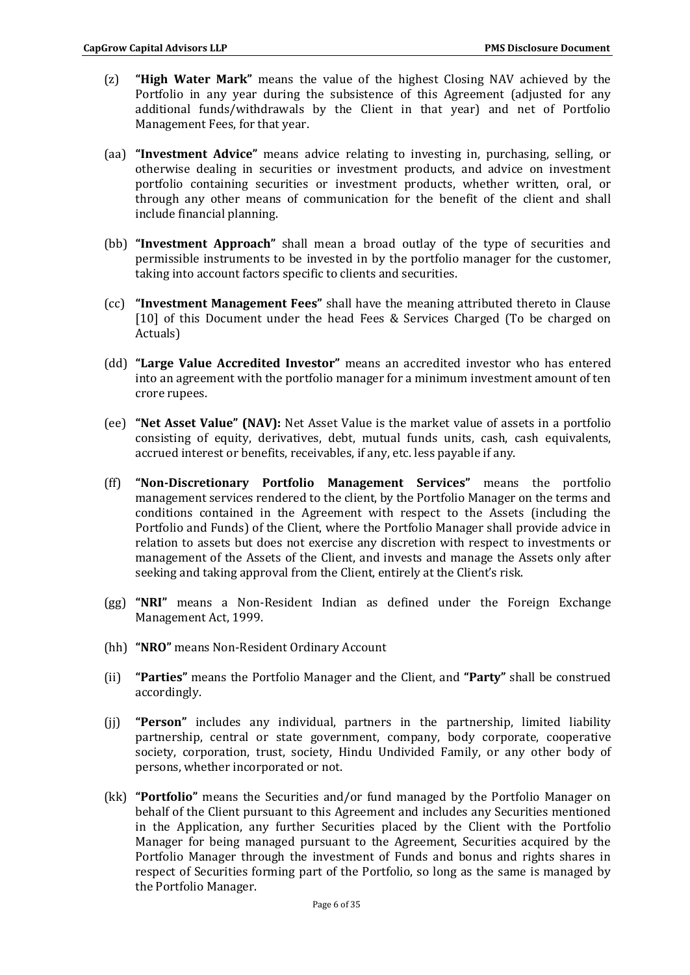- (z) **"High Water Mark"** means the value of the highest Closing NAV achieved by the Portfolio in any year during the subsistence of this Agreement (adjusted for any additional funds/withdrawals by the Client in that year) and net of Portfolio Management Fees, for that year.
- (aa) **"Investment Advice"** means advice relating to investing in, purchasing, selling, or otherwise dealing in securities or investment products, and advice on investment portfolio containing securities or investment products, whether written, oral, or through any other means of communication for the benefit of the client and shall include financial planning.
- (bb) **"Investment Approach"** shall mean a broad outlay of the type of securities and permissible instruments to be invested in by the portfolio manager for the customer, taking into account factors specific to clients and securities.
- (cc) **"Investment Management Fees"** shall have the meaning attributed thereto in Clause [10] of this Document under the head Fees & Services Charged (To be charged on Actuals)
- (dd) **"Large Value Accredited Investor"** means an accredited investor who has entered into an agreement with the portfolio manager for a minimum investment amount of ten crore rupees.
- (ee) **"Net Asset Value" (NAV):** Net Asset Value is the market value of assets in a portfolio consisting of equity, derivatives, debt, mutual funds units, cash, cash equivalents, accrued interest or benefits, receivables, if any, etc. less payable if any.
- (ff) **"Non-Discretionary Portfolio Management Services"** means the portfolio management services rendered to the client, by the Portfolio Manager on the terms and conditions contained in the Agreement with respect to the Assets (including the Portfolio and Funds) of the Client, where the Portfolio Manager shall provide advice in relation to assets but does not exercise any discretion with respect to investments or management of the Assets of the Client, and invests and manage the Assets only after seeking and taking approval from the Client, entirely at the Client's risk.
- (gg) **"NRI"** means a Non-Resident Indian as defined under the Foreign Exchange Management Act, 1999.
- (hh) **"NRO"** means Non-Resident Ordinary Account
- (ii) **"Parties"** means the Portfolio Manager and the Client, and **"Party"** shall be construed accordingly.
- (jj) **"Person"** includes any individual, partners in the partnership, limited liability partnership, central or state government, company, body corporate, cooperative society, corporation, trust, society, Hindu Undivided Family, or any other body of persons, whether incorporated or not.
- (kk) **"Portfolio"** means the Securities and/or fund managed by the Portfolio Manager on behalf of the Client pursuant to this Agreement and includes any Securities mentioned in the Application, any further Securities placed by the Client with the Portfolio Manager for being managed pursuant to the Agreement, Securities acquired by the Portfolio Manager through the investment of Funds and bonus and rights shares in respect of Securities forming part of the Portfolio, so long as the same is managed by the Portfolio Manager.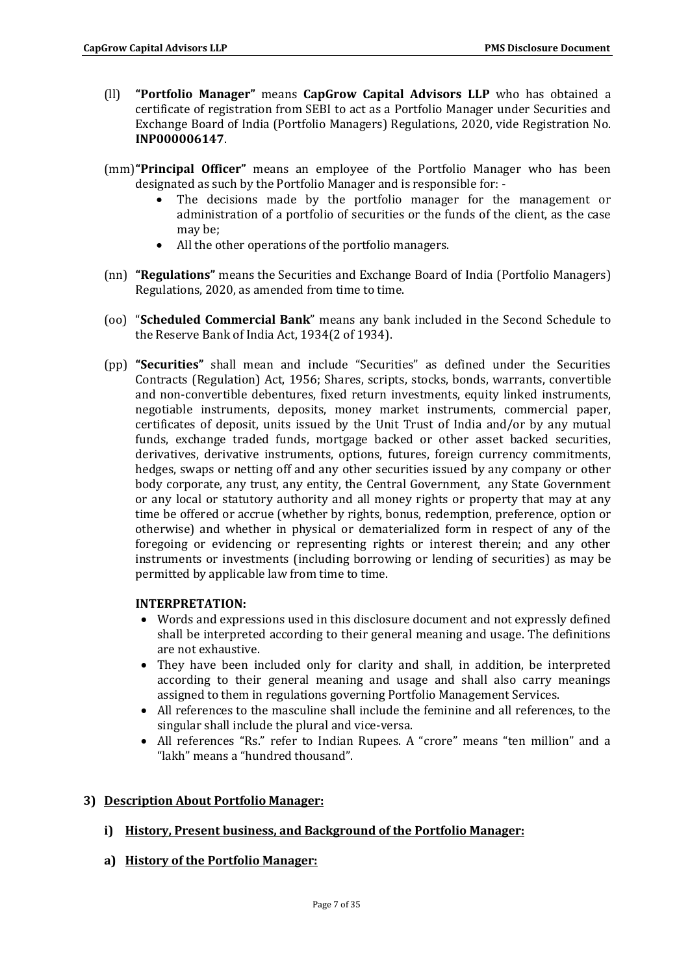- (ll) **"Portfolio Manager"** means **CapGrow Capital Advisors LLP** who has obtained a certificate of registration from SEBI to act as a Portfolio Manager under Securities and Exchange Board of India (Portfolio Managers) Regulations, 2020, vide Registration No. **INP000006147**.
- (mm)**"Principal Officer"** means an employee of the Portfolio Manager who has been designated as such by the Portfolio Manager and is responsible for: -
	- The decisions made by the portfolio manager for the management or administration of a portfolio of securities or the funds of the client, as the case may be;
	- All the other operations of the portfolio managers.
- (nn) **"Regulations"** means the Securities and Exchange Board of India (Portfolio Managers) Regulations, 2020, as amended from time to time.
- (oo) "**Scheduled Commercial Bank**" means any bank included in the Second Schedule to the Reserve Bank of India Act, 1934(2 of 1934).
- (pp) **"Securities"** shall mean and include "Securities" as defined under the Securities Contracts (Regulation) Act, 1956; Shares, scripts, stocks, bonds, warrants, convertible and non-convertible debentures, fixed return investments, equity linked instruments, negotiable instruments, deposits, money market instruments, commercial paper, certificates of deposit, units issued by the Unit Trust of India and/or by any mutual funds, exchange traded funds, mortgage backed or other asset backed securities, derivatives, derivative instruments, options, futures, foreign currency commitments, hedges, swaps or netting off and any other securities issued by any company or other body corporate, any trust, any entity, the Central Government, any State Government or any local or statutory authority and all money rights or property that may at any time be offered or accrue (whether by rights, bonus, redemption, preference, option or otherwise) and whether in physical or dematerialized form in respect of any of the foregoing or evidencing or representing rights or interest therein; and any other instruments or investments (including borrowing or lending of securities) as may be permitted by applicable law from time to time.

### **INTERPRETATION:**

- Words and expressions used in this disclosure document and not expressly defined shall be interpreted according to their general meaning and usage. The definitions are not exhaustive.
- They have been included only for clarity and shall, in addition, be interpreted according to their general meaning and usage and shall also carry meanings assigned to them in regulations governing Portfolio Management Services.
- All references to the masculine shall include the feminine and all references, to the singular shall include the plural and vice-versa.
- All references "Rs." refer to Indian Rupees. A "crore" means "ten million" and a "lakh" means a "hundred thousand".

# **3) Description About Portfolio Manager:**

- **i) History, Present business, and Background of the Portfolio Manager:**
- **a) History of the Portfolio Manager:**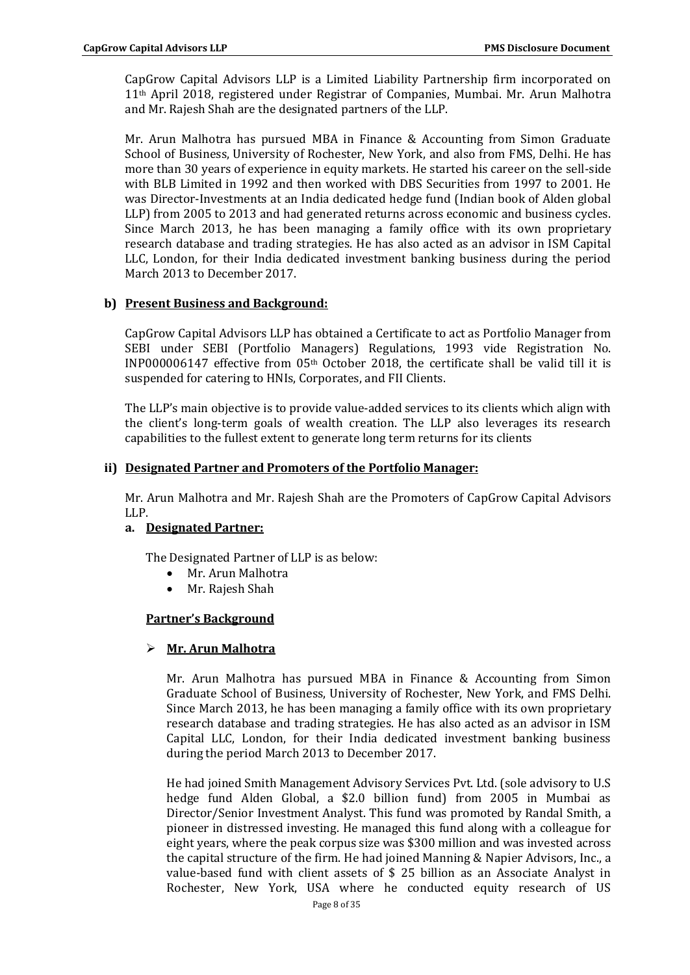CapGrow Capital Advisors LLP is a Limited Liability Partnership firm incorporated on 11th April 2018, registered under Registrar of Companies, Mumbai. Mr. Arun Malhotra and Mr. Rajesh Shah are the designated partners of the LLP.

Mr. Arun Malhotra has pursued MBA in Finance & Accounting from Simon Graduate School of Business, University of Rochester, New York, and also from FMS, Delhi. He has more than 30 years of experience in equity markets. He started his career on the sell-side with BLB Limited in 1992 and then worked with DBS Securities from 1997 to 2001. He was Director-Investments at an India dedicated hedge fund (Indian book of Alden global LLP) from 2005 to 2013 and had generated returns across economic and business cycles. Since March 2013, he has been managing a family office with its own proprietary research database and trading strategies. He has also acted as an advisor in ISM Capital LLC, London, for their India dedicated investment banking business during the period March 2013 to December 2017.

## **b) Present Business and Background:**

CapGrow Capital Advisors LLP has obtained a Certificate to act as Portfolio Manager from SEBI under SEBI (Portfolio Managers) Regulations, 1993 vide Registration No. INP000006147 effective from 05th October 2018, the certificate shall be valid till it is suspended for catering to HNIs, Corporates, and FII Clients.

The LLP's main objective is to provide value-added services to its clients which align with the client's long-term goals of wealth creation. The LLP also leverages its research capabilities to the fullest extent to generate long term returns for its clients

### **ii) Designated Partner and Promoters of the Portfolio Manager:**

Mr. Arun Malhotra and Mr. Rajesh Shah are the Promoters of CapGrow Capital Advisors LLP.

### **a. Designated Partner:**

The Designated Partner of LLP is as below:

- Mr. Arun Malhotra
- Mr. Rajesh Shah

# **Partner's Background**

# **Mr. Arun Malhotra**

Mr. Arun Malhotra has pursued MBA in Finance & Accounting from Simon Graduate School of Business, University of Rochester, New York, and FMS Delhi. Since March 2013, he has been managing a family office with its own proprietary research database and trading strategies. He has also acted as an advisor in ISM Capital LLC, London, for their India dedicated investment banking business during the period March 2013 to December 2017.

He had joined Smith Management Advisory Services Pvt. Ltd. (sole advisory to U.S hedge fund Alden Global, a \$2.0 billion fund) from 2005 in Mumbai as Director/Senior Investment Analyst. This fund was promoted by Randal Smith, a pioneer in distressed investing. He managed this fund along with a colleague for eight years, where the peak corpus size was \$300 million and was invested across the capital structure of the firm. He had joined Manning & Napier Advisors, Inc., a value-based fund with client assets of \$ 25 billion as an Associate Analyst in Rochester, New York, USA where he conducted equity research of US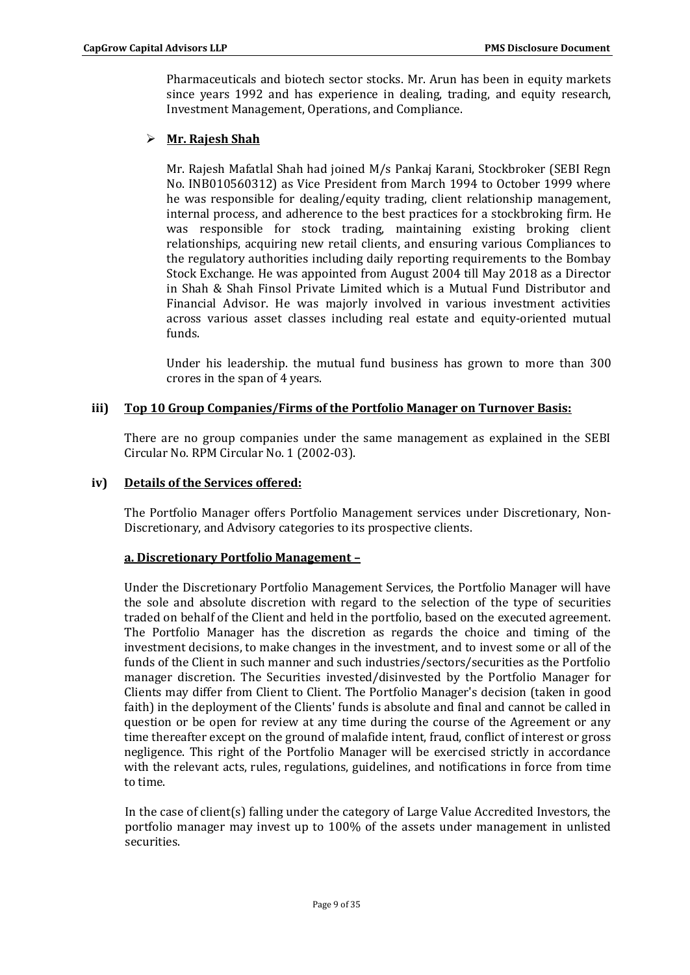Pharmaceuticals and biotech sector stocks. Mr. Arun has been in equity markets since years 1992 and has experience in dealing, trading, and equity research, Investment Management, Operations, and Compliance.

# **Mr. Rajesh Shah**

Mr. Rajesh Mafatlal Shah had joined M/s Pankaj Karani, Stockbroker (SEBI Regn No. INB010560312) as Vice President from March 1994 to October 1999 where he was responsible for dealing/equity trading, client relationship management, internal process, and adherence to the best practices for a stockbroking firm. He was responsible for stock trading, maintaining existing broking client relationships, acquiring new retail clients, and ensuring various Compliances to the regulatory authorities including daily reporting requirements to the Bombay Stock Exchange. He was appointed from August 2004 till May 2018 as a Director in Shah & Shah Finsol Private Limited which is a Mutual Fund Distributor and Financial Advisor. He was majorly involved in various investment activities across various asset classes including real estate and equity-oriented mutual funds.

Under his leadership. the mutual fund business has grown to more than 300 crores in the span of 4 years.

## **iii) Top 10 Group Companies/Firms of the Portfolio Manager on Turnover Basis:**

There are no group companies under the same management as explained in the SEBI Circular No. RPM Circular No. 1 (2002-03).

### **iv) Details of the Services offered:**

The Portfolio Manager offers Portfolio Management services under Discretionary, Non-Discretionary, and Advisory categories to its prospective clients.

### **a. Discretionary Portfolio Management –**

Under the Discretionary Portfolio Management Services, the Portfolio Manager will have the sole and absolute discretion with regard to the selection of the type of securities traded on behalf of the Client and held in the portfolio, based on the executed agreement. The Portfolio Manager has the discretion as regards the choice and timing of the investment decisions, to make changes in the investment, and to invest some or all of the funds of the Client in such manner and such industries/sectors/securities as the Portfolio manager discretion. The Securities invested/disinvested by the Portfolio Manager for Clients may differ from Client to Client. The Portfolio Manager's decision (taken in good faith) in the deployment of the Clients' funds is absolute and final and cannot be called in question or be open for review at any time during the course of the Agreement or any time thereafter except on the ground of malafide intent, fraud, conflict of interest or gross negligence. This right of the Portfolio Manager will be exercised strictly in accordance with the relevant acts, rules, regulations, guidelines, and notifications in force from time to time.

In the case of client(s) falling under the category of Large Value Accredited Investors, the portfolio manager may invest up to 100% of the assets under management in unlisted securities.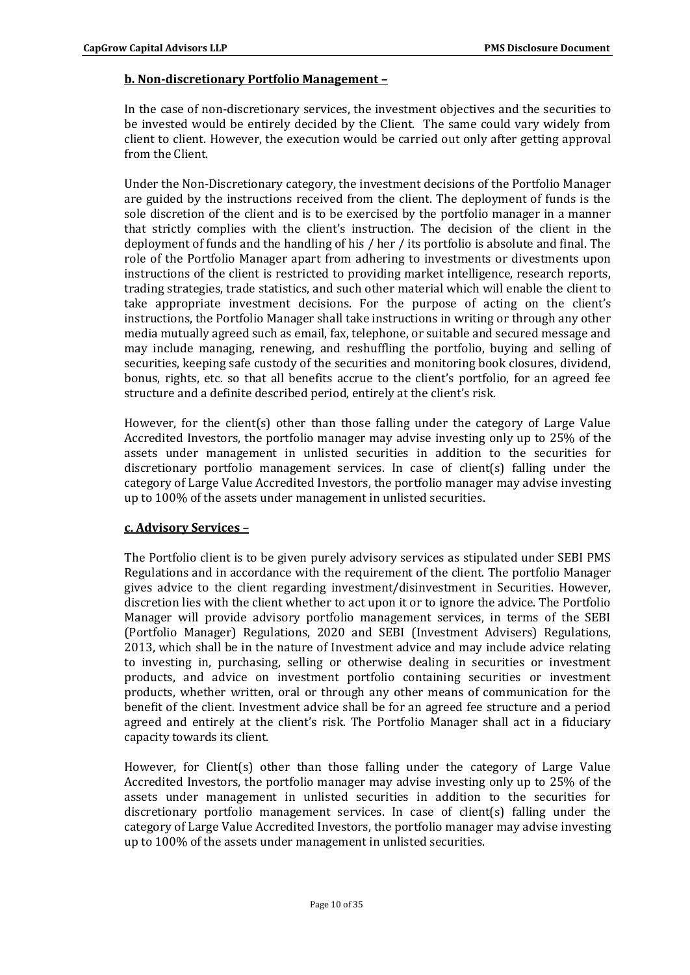## **b. Non-discretionary Portfolio Management –**

In the case of non-discretionary services, the investment objectives and the securities to be invested would be entirely decided by the Client. The same could vary widely from client to client. However, the execution would be carried out only after getting approval from the Client.

Under the Non-Discretionary category, the investment decisions of the Portfolio Manager are guided by the instructions received from the client. The deployment of funds is the sole discretion of the client and is to be exercised by the portfolio manager in a manner that strictly complies with the client's instruction. The decision of the client in the deployment of funds and the handling of his / her / its portfolio is absolute and final. The role of the Portfolio Manager apart from adhering to investments or divestments upon instructions of the client is restricted to providing market intelligence, research reports, trading strategies, trade statistics, and such other material which will enable the client to take appropriate investment decisions. For the purpose of acting on the client's instructions, the Portfolio Manager shall take instructions in writing or through any other media mutually agreed such as email, fax, telephone, or suitable and secured message and may include managing, renewing, and reshuffling the portfolio, buying and selling of securities, keeping safe custody of the securities and monitoring book closures, dividend, bonus, rights, etc. so that all benefits accrue to the client's portfolio, for an agreed fee structure and a definite described period, entirely at the client's risk.

However, for the client(s) other than those falling under the category of Large Value Accredited Investors, the portfolio manager may advise investing only up to 25% of the assets under management in unlisted securities in addition to the securities for discretionary portfolio management services. In case of client(s) falling under the category of Large Value Accredited Investors, the portfolio manager may advise investing up to 100% of the assets under management in unlisted securities.

### **c. Advisory Services –**

The Portfolio client is to be given purely advisory services as stipulated under SEBI PMS Regulations and in accordance with the requirement of the client. The portfolio Manager gives advice to the client regarding investment/disinvestment in Securities. However, discretion lies with the client whether to act upon it or to ignore the advice. The Portfolio Manager will provide advisory portfolio management services, in terms of the SEBI (Portfolio Manager) Regulations, 2020 and SEBI (Investment Advisers) Regulations, 2013, which shall be in the nature of Investment advice and may include advice relating to investing in, purchasing, selling or otherwise dealing in securities or investment products, and advice on investment portfolio containing securities or investment products, whether written, oral or through any other means of communication for the benefit of the client. Investment advice shall be for an agreed fee structure and a period agreed and entirely at the client's risk. The Portfolio Manager shall act in a fiduciary capacity towards its client.

However, for Client(s) other than those falling under the category of Large Value Accredited Investors, the portfolio manager may advise investing only up to 25% of the assets under management in unlisted securities in addition to the securities for discretionary portfolio management services. In case of client(s) falling under the category of Large Value Accredited Investors, the portfolio manager may advise investing up to 100% of the assets under management in unlisted securities.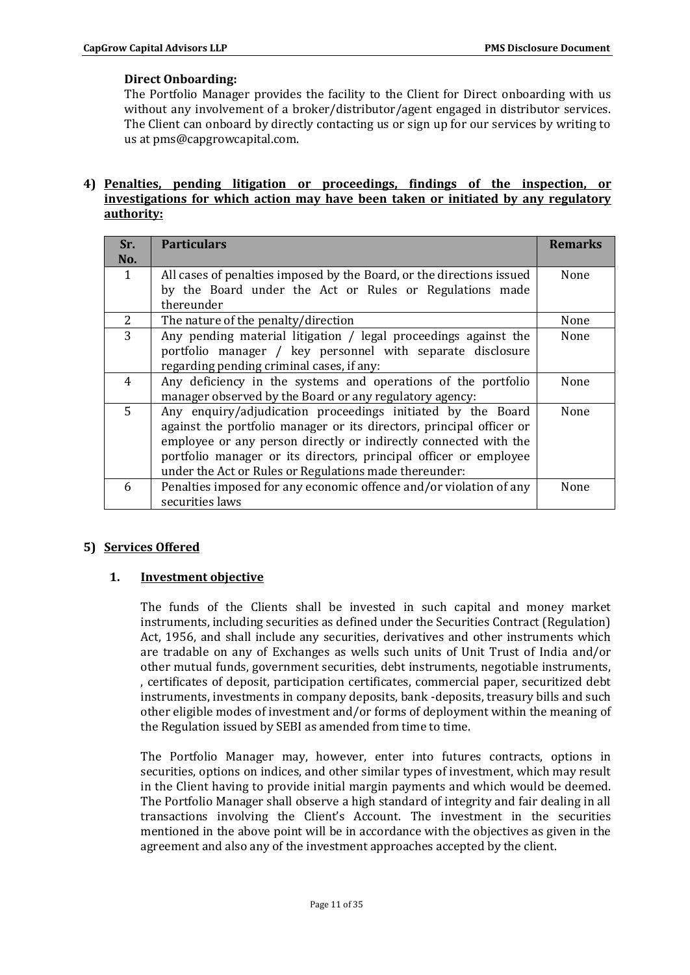# **Direct Onboarding:**

The Portfolio Manager provides the facility to the Client for Direct onboarding with us without any involvement of a broker/distributor/agent engaged in distributor services. The Client can onboard by directly contacting us or sign up for our services by writing to us at pms@capgrowcapital.com.

## **4) Penalties, pending litigation or proceedings, findings of the inspection, or investigations for which action may have been taken or initiated by any regulatory authority:**

| Sr.<br>No. | <b>Particulars</b>                                                                                                                                                                                                                                                                                                                     | <b>Remarks</b> |
|------------|----------------------------------------------------------------------------------------------------------------------------------------------------------------------------------------------------------------------------------------------------------------------------------------------------------------------------------------|----------------|
| 1          | All cases of penalties imposed by the Board, or the directions issued<br>by the Board under the Act or Rules or Regulations made<br>thereunder                                                                                                                                                                                         | None           |
| 2          | The nature of the penalty/direction                                                                                                                                                                                                                                                                                                    | None           |
| 3          | Any pending material litigation / legal proceedings against the<br>portfolio manager / key personnel with separate disclosure<br>regarding pending criminal cases, if any:                                                                                                                                                             | None           |
| 4          | Any deficiency in the systems and operations of the portfolio<br>manager observed by the Board or any regulatory agency:                                                                                                                                                                                                               | None           |
| 5          | Any enquiry/adjudication proceedings initiated by the Board<br>against the portfolio manager or its directors, principal officer or<br>employee or any person directly or indirectly connected with the<br>portfolio manager or its directors, principal officer or employee<br>under the Act or Rules or Regulations made thereunder: | <b>None</b>    |
| 6          | Penalties imposed for any economic offence and/or violation of any<br>securities laws                                                                                                                                                                                                                                                  | None           |

# **5) Services Offered**

# **1. Investment objective**

The funds of the Clients shall be invested in such capital and money market instruments, including securities as defined under the Securities Contract (Regulation) Act, 1956, and shall include any securities, derivatives and other instruments which are tradable on any of Exchanges as wells such units of Unit Trust of India and/or other mutual funds, government securities, debt instruments, negotiable instruments, , certificates of deposit, participation certificates, commercial paper, securitized debt instruments, investments in company deposits, bank -deposits, treasury bills and such other eligible modes of investment and/or forms of deployment within the meaning of the Regulation issued by SEBI as amended from time to time.

The Portfolio Manager may, however, enter into futures contracts, options in securities, options on indices, and other similar types of investment, which may result in the Client having to provide initial margin payments and which would be deemed. The Portfolio Manager shall observe a high standard of integrity and fair dealing in all transactions involving the Client's Account. The investment in the securities mentioned in the above point will be in accordance with the objectives as given in the agreement and also any of the investment approaches accepted by the client.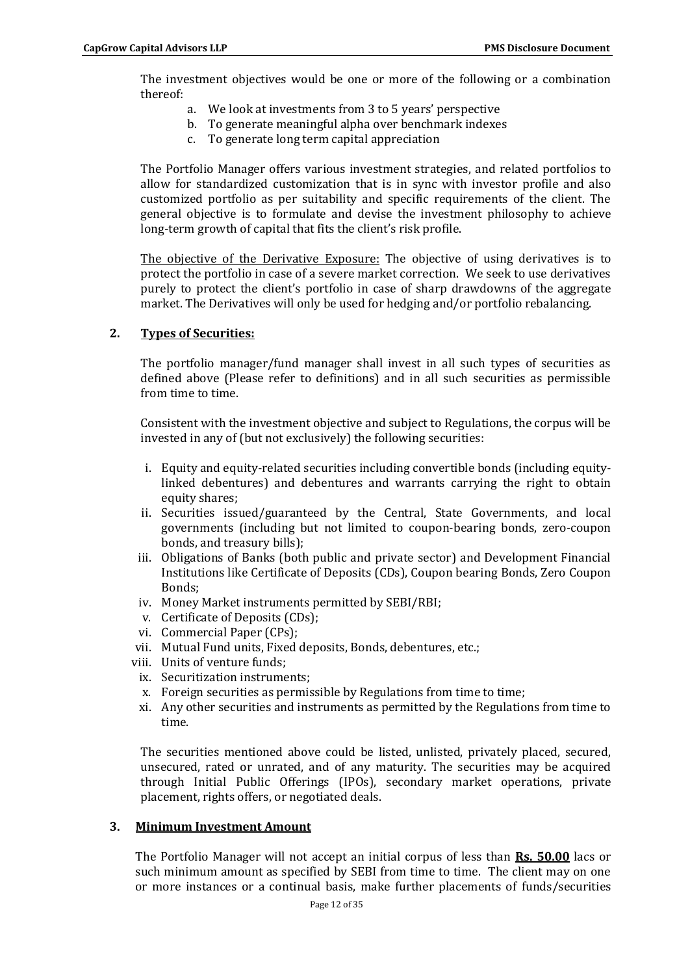The investment objectives would be one or more of the following or a combination thereof:

- a. We look at investments from 3 to 5 years' perspective
- b. To generate meaningful alpha over benchmark indexes
- c. To generate long term capital appreciation

The Portfolio Manager offers various investment strategies, and related portfolios to allow for standardized customization that is in sync with investor profile and also customized portfolio as per suitability and specific requirements of the client. The general objective is to formulate and devise the investment philosophy to achieve long-term growth of capital that fits the client's risk profile.

The objective of the Derivative Exposure: The objective of using derivatives is to protect the portfolio in case of a severe market correction. We seek to use derivatives purely to protect the client's portfolio in case of sharp drawdowns of the aggregate market. The Derivatives will only be used for hedging and/or portfolio rebalancing.

## **2. Types of Securities:**

The portfolio manager/fund manager shall invest in all such types of securities as defined above (Please refer to definitions) and in all such securities as permissible from time to time.

Consistent with the investment objective and subject to Regulations, the corpus will be invested in any of (but not exclusively) the following securities:

- i. Equity and equity-related securities including convertible bonds (including equitylinked debentures) and debentures and warrants carrying the right to obtain equity shares;
- ii. Securities issued/guaranteed by the Central, State Governments, and local governments (including but not limited to coupon-bearing bonds, zero-coupon bonds, and treasury bills);
- iii. Obligations of Banks (both public and private sector) and Development Financial Institutions like Certificate of Deposits (CDs), Coupon bearing Bonds, Zero Coupon Bonds;
- iv. Money Market instruments permitted by SEBI/RBI;
- v. Certificate of Deposits (CDs);
- vi. Commercial Paper (CPs);
- vii. Mutual Fund units, Fixed deposits, Bonds, debentures, etc.;
- viii. Units of venture funds;
	- ix. Securitization instruments;
	- x. Foreign securities as permissible by Regulations from time to time;
	- xi. Any other securities and instruments as permitted by the Regulations from time to time.

The securities mentioned above could be listed, unlisted, privately placed, secured, unsecured, rated or unrated, and of any maturity. The securities may be acquired through Initial Public Offerings (IPOs), secondary market operations, private placement, rights offers, or negotiated deals.

### **3. Minimum Investment Amount**

The Portfolio Manager will not accept an initial corpus of less than **Rs. 50.00** lacs or such minimum amount as specified by SEBI from time to time. The client may on one or more instances or a continual basis, make further placements of funds/securities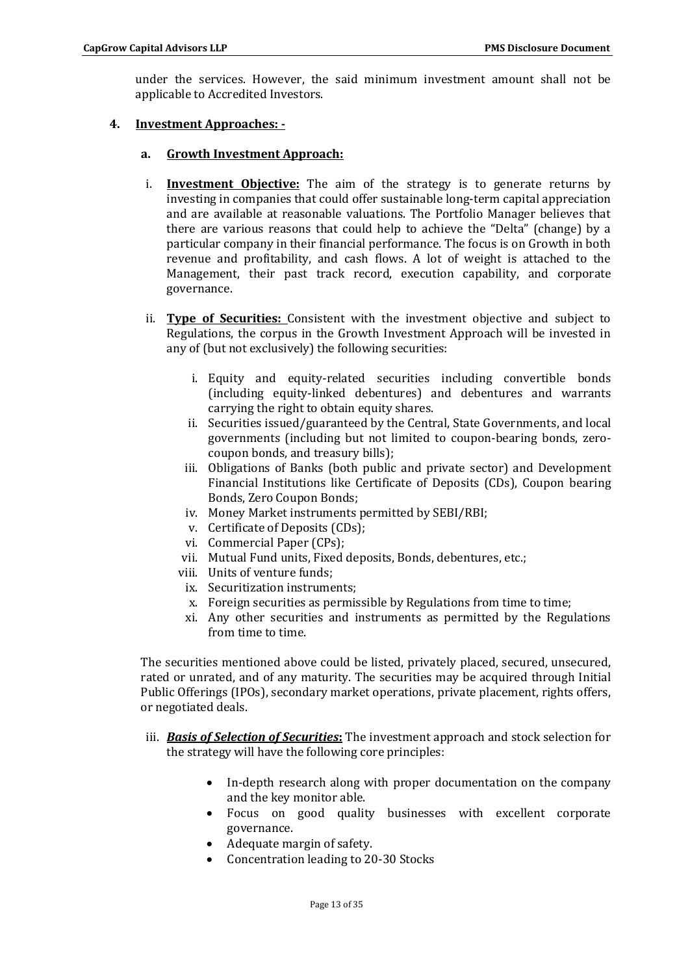under the services. However, the said minimum investment amount shall not be applicable to Accredited Investors.

# **4. Investment Approaches: -**

#### **a. Growth Investment Approach:**

- i. **Investment Objective:** The aim of the strategy is to generate returns by investing in companies that could offer sustainable long-term capital appreciation and are available at reasonable valuations. The Portfolio Manager believes that there are various reasons that could help to achieve the "Delta" (change) by a particular company in their financial performance. The focus is on Growth in both revenue and profitability, and cash flows. A lot of weight is attached to the Management, their past track record, execution capability, and corporate governance.
- ii. **Type of Securities:** Consistent with the investment objective and subject to Regulations, the corpus in the Growth Investment Approach will be invested in any of (but not exclusively) the following securities:
	- i. Equity and equity-related securities including convertible bonds (including equity-linked debentures) and debentures and warrants carrying the right to obtain equity shares.
	- ii. Securities issued/guaranteed by the Central, State Governments, and local governments (including but not limited to coupon-bearing bonds, zerocoupon bonds, and treasury bills);
	- iii. Obligations of Banks (both public and private sector) and Development Financial Institutions like Certificate of Deposits (CDs), Coupon bearing Bonds, Zero Coupon Bonds;
	- iv. Money Market instruments permitted by SEBI/RBI;
	- v. Certificate of Deposits (CDs);
	- vi. Commercial Paper (CPs);
	- vii. Mutual Fund units, Fixed deposits, Bonds, debentures, etc.;
	- viii. Units of venture funds;
	- ix. Securitization instruments;
	- x. Foreign securities as permissible by Regulations from time to time;
	- xi. Any other securities and instruments as permitted by the Regulations from time to time.

The securities mentioned above could be listed, privately placed, secured, unsecured, rated or unrated, and of any maturity. The securities may be acquired through Initial Public Offerings (IPOs), secondary market operations, private placement, rights offers, or negotiated deals.

- iii. *Basis of Selection of Securities***:** The investment approach and stock selection for the strategy will have the following core principles:
	- In-depth research along with proper documentation on the company and the key monitor able.
	- Focus on good quality businesses with excellent corporate governance.
	- Adequate margin of safety.
	- Concentration leading to 20-30 Stocks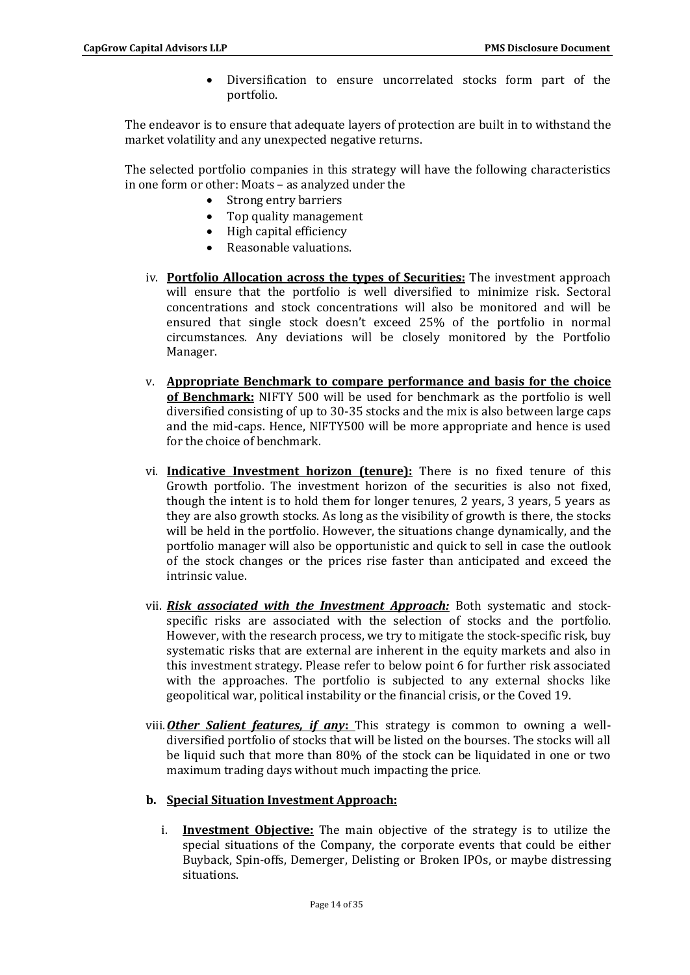Diversification to ensure uncorrelated stocks form part of the portfolio.

The endeavor is to ensure that adequate layers of protection are built in to withstand the market volatility and any unexpected negative returns.

The selected portfolio companies in this strategy will have the following characteristics in one form or other: Moats – as analyzed under the

- Strong entry barriers
- Top quality management
- High capital efficiency
- Reasonable valuations.
- iv. **Portfolio Allocation across the types of Securities:** The investment approach will ensure that the portfolio is well diversified to minimize risk. Sectoral concentrations and stock concentrations will also be monitored and will be ensured that single stock doesn't exceed 25% of the portfolio in normal circumstances. Any deviations will be closely monitored by the Portfolio Manager.
- v. **Appropriate Benchmark to compare performance and basis for the choice of Benchmark:** NIFTY 500 will be used for benchmark as the portfolio is well diversified consisting of up to 30-35 stocks and the mix is also between large caps and the mid-caps. Hence, NIFTY500 will be more appropriate and hence is used for the choice of benchmark.
- vi. **Indicative Investment horizon (tenure):** There is no fixed tenure of this Growth portfolio. The investment horizon of the securities is also not fixed, though the intent is to hold them for longer tenures, 2 years, 3 years, 5 years as they are also growth stocks. As long as the visibility of growth is there, the stocks will be held in the portfolio. However, the situations change dynamically, and the portfolio manager will also be opportunistic and quick to sell in case the outlook of the stock changes or the prices rise faster than anticipated and exceed the intrinsic value.
- vii. *Risk associated with the Investment Approach:* Both systematic and stockspecific risks are associated with the selection of stocks and the portfolio. However, with the research process, we try to mitigate the stock-specific risk, buy systematic risks that are external are inherent in the equity markets and also in this investment strategy. Please refer to below point 6 for further risk associated with the approaches. The portfolio is subjected to any external shocks like geopolitical war, political instability or the financial crisis, or the Coved 19.
- viii.*Other Salient features, if any***:** This strategy is common to owning a welldiversified portfolio of stocks that will be listed on the bourses. The stocks will all be liquid such that more than 80% of the stock can be liquidated in one or two maximum trading days without much impacting the price.

### **b. Special Situation Investment Approach:**

i. **Investment Objective:** The main objective of the strategy is to utilize the special situations of the Company, the corporate events that could be either Buyback, Spin-offs, Demerger, Delisting or Broken IPOs, or maybe distressing situations.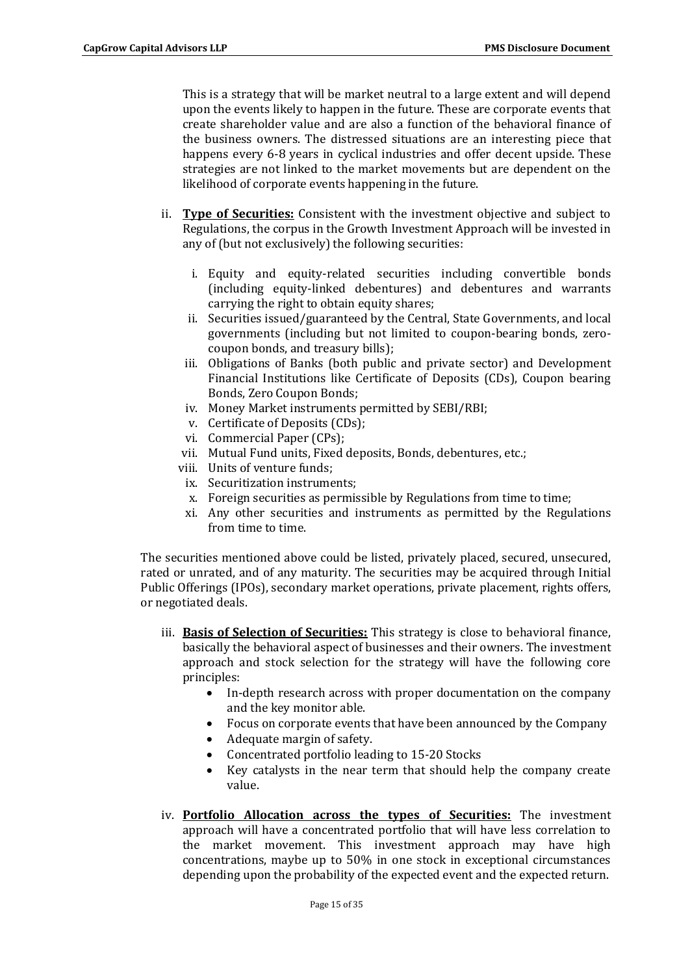This is a strategy that will be market neutral to a large extent and will depend upon the events likely to happen in the future. These are corporate events that create shareholder value and are also a function of the behavioral finance of the business owners. The distressed situations are an interesting piece that happens every 6-8 years in cyclical industries and offer decent upside. These strategies are not linked to the market movements but are dependent on the likelihood of corporate events happening in the future.

- ii. **Type of Securities:** Consistent with the investment objective and subject to Regulations, the corpus in the Growth Investment Approach will be invested in any of (but not exclusively) the following securities:
	- i. Equity and equity-related securities including convertible bonds (including equity-linked debentures) and debentures and warrants carrying the right to obtain equity shares;
	- ii. Securities issued/guaranteed by the Central, State Governments, and local governments (including but not limited to coupon-bearing bonds, zerocoupon bonds, and treasury bills);
	- iii. Obligations of Banks (both public and private sector) and Development Financial Institutions like Certificate of Deposits (CDs), Coupon bearing Bonds, Zero Coupon Bonds;
	- iv. Money Market instruments permitted by SEBI/RBI;
	- v. Certificate of Deposits (CDs);
	- vi. Commercial Paper (CPs);
	- vii. Mutual Fund units, Fixed deposits, Bonds, debentures, etc.;
	- viii. Units of venture funds;
	- ix. Securitization instruments;
	- x. Foreign securities as permissible by Regulations from time to time;
	- xi. Any other securities and instruments as permitted by the Regulations from time to time.

The securities mentioned above could be listed, privately placed, secured, unsecured, rated or unrated, and of any maturity. The securities may be acquired through Initial Public Offerings (IPOs), secondary market operations, private placement, rights offers, or negotiated deals.

- iii. **Basis of Selection of Securities:** This strategy is close to behavioral finance, basically the behavioral aspect of businesses and their owners. The investment approach and stock selection for the strategy will have the following core principles:
	- In-depth research across with proper documentation on the company and the key monitor able.
	- Focus on corporate events that have been announced by the Company
	- Adequate margin of safety.
	- Concentrated portfolio leading to 15-20 Stocks
	- Key catalysts in the near term that should help the company create value.
- iv. **Portfolio Allocation across the types of Securities:** The investment approach will have a concentrated portfolio that will have less correlation to the market movement. This investment approach may have high concentrations, maybe up to 50% in one stock in exceptional circumstances depending upon the probability of the expected event and the expected return.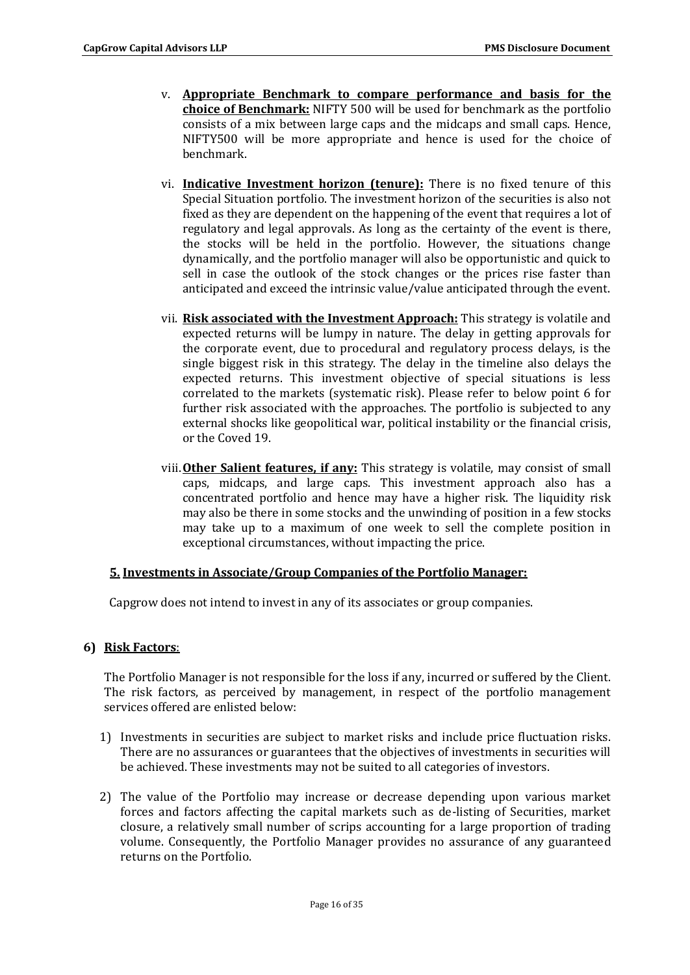- v. **Appropriate Benchmark to compare performance and basis for the choice of Benchmark:** NIFTY 500 will be used for benchmark as the portfolio consists of a mix between large caps and the midcaps and small caps. Hence, NIFTY500 will be more appropriate and hence is used for the choice of benchmark.
- vi. **Indicative Investment horizon (tenure):** There is no fixed tenure of this Special Situation portfolio. The investment horizon of the securities is also not fixed as they are dependent on the happening of the event that requires a lot of regulatory and legal approvals. As long as the certainty of the event is there, the stocks will be held in the portfolio. However, the situations change dynamically, and the portfolio manager will also be opportunistic and quick to sell in case the outlook of the stock changes or the prices rise faster than anticipated and exceed the intrinsic value/value anticipated through the event.
- vii. **Risk associated with the Investment Approach:** This strategy is volatile and expected returns will be lumpy in nature. The delay in getting approvals for the corporate event, due to procedural and regulatory process delays, is the single biggest risk in this strategy. The delay in the timeline also delays the expected returns. This investment objective of special situations is less correlated to the markets (systematic risk). Please refer to below point 6 for further risk associated with the approaches. The portfolio is subjected to any external shocks like geopolitical war, political instability or the financial crisis, or the Coved 19.
- viii.**Other Salient features, if any:** This strategy is volatile, may consist of small caps, midcaps, and large caps. This investment approach also has a concentrated portfolio and hence may have a higher risk. The liquidity risk may also be there in some stocks and the unwinding of position in a few stocks may take up to a maximum of one week to sell the complete position in exceptional circumstances, without impacting the price.

# **5. Investments in Associate/Group Companies of the Portfolio Manager:**

Capgrow does not intend to invest in any of its associates or group companies.

# **6) Risk Factors**:

The Portfolio Manager is not responsible for the loss if any, incurred or suffered by the Client. The risk factors, as perceived by management, in respect of the portfolio management services offered are enlisted below:

- 1) Investments in securities are subject to market risks and include price fluctuation risks. There are no assurances or guarantees that the objectives of investments in securities will be achieved. These investments may not be suited to all categories of investors.
- 2) The value of the Portfolio may increase or decrease depending upon various market forces and factors affecting the capital markets such as de-listing of Securities, market closure, a relatively small number of scrips accounting for a large proportion of trading volume. Consequently, the Portfolio Manager provides no assurance of any guaranteed returns on the Portfolio.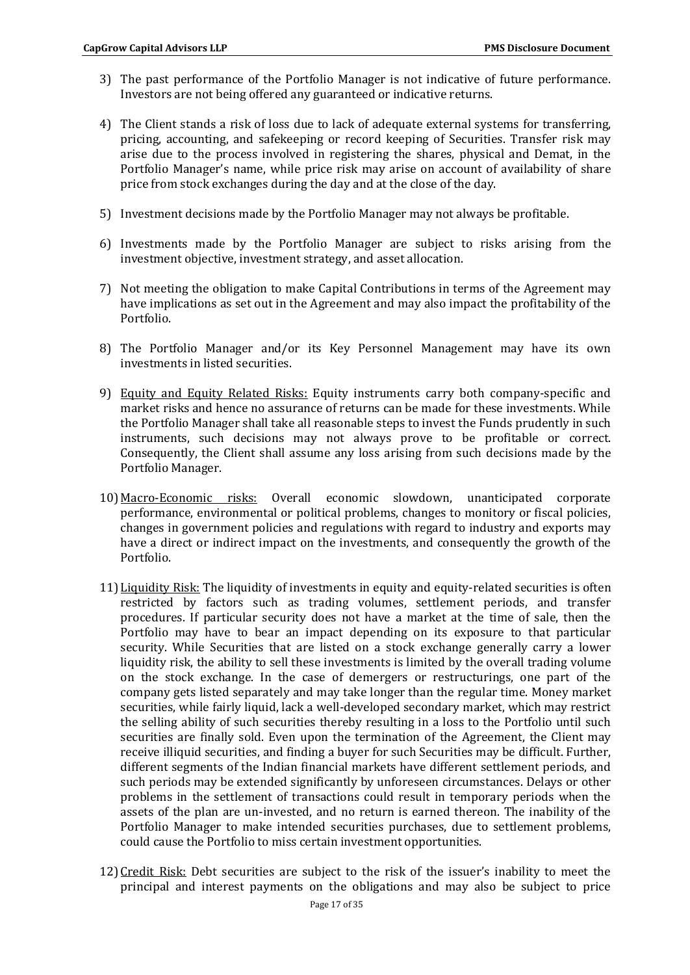- 3) The past performance of the Portfolio Manager is not indicative of future performance. Investors are not being offered any guaranteed or indicative returns.
- 4) The Client stands a risk of loss due to lack of adequate external systems for transferring, pricing, accounting, and safekeeping or record keeping of Securities. Transfer risk may arise due to the process involved in registering the shares, physical and Demat, in the Portfolio Manager's name, while price risk may arise on account of availability of share price from stock exchanges during the day and at the close of the day.
- 5) Investment decisions made by the Portfolio Manager may not always be profitable.
- 6) Investments made by the Portfolio Manager are subject to risks arising from the investment objective, investment strategy, and asset allocation.
- 7) Not meeting the obligation to make Capital Contributions in terms of the Agreement may have implications as set out in the Agreement and may also impact the profitability of the Portfolio.
- 8) The Portfolio Manager and/or its Key Personnel Management may have its own investments in listed securities.
- 9) Equity and Equity Related Risks: Equity instruments carry both company-specific and market risks and hence no assurance of returns can be made for these investments. While the Portfolio Manager shall take all reasonable steps to invest the Funds prudently in such instruments, such decisions may not always prove to be profitable or correct. Consequently, the Client shall assume any loss arising from such decisions made by the Portfolio Manager.
- 10) Macro-Economic risks: Overall economic slowdown, unanticipated corporate performance, environmental or political problems, changes to monitory or fiscal policies, changes in government policies and regulations with regard to industry and exports may have a direct or indirect impact on the investments, and consequently the growth of the Portfolio.
- 11) Liquidity Risk: The liquidity of investments in equity and equity-related securities is often restricted by factors such as trading volumes, settlement periods, and transfer procedures. If particular security does not have a market at the time of sale, then the Portfolio may have to bear an impact depending on its exposure to that particular security. While Securities that are listed on a stock exchange generally carry a lower liquidity risk, the ability to sell these investments is limited by the overall trading volume on the stock exchange. In the case of demergers or restructurings, one part of the company gets listed separately and may take longer than the regular time. Money market securities, while fairly liquid, lack a well-developed secondary market, which may restrict the selling ability of such securities thereby resulting in a loss to the Portfolio until such securities are finally sold. Even upon the termination of the Agreement, the Client may receive illiquid securities, and finding a buyer for such Securities may be difficult. Further, different segments of the Indian financial markets have different settlement periods, and such periods may be extended significantly by unforeseen circumstances. Delays or other problems in the settlement of transactions could result in temporary periods when the assets of the plan are un-invested, and no return is earned thereon. The inability of the Portfolio Manager to make intended securities purchases, due to settlement problems, could cause the Portfolio to miss certain investment opportunities.
- 12)Credit Risk: Debt securities are subject to the risk of the issuer's inability to meet the principal and interest payments on the obligations and may also be subject to price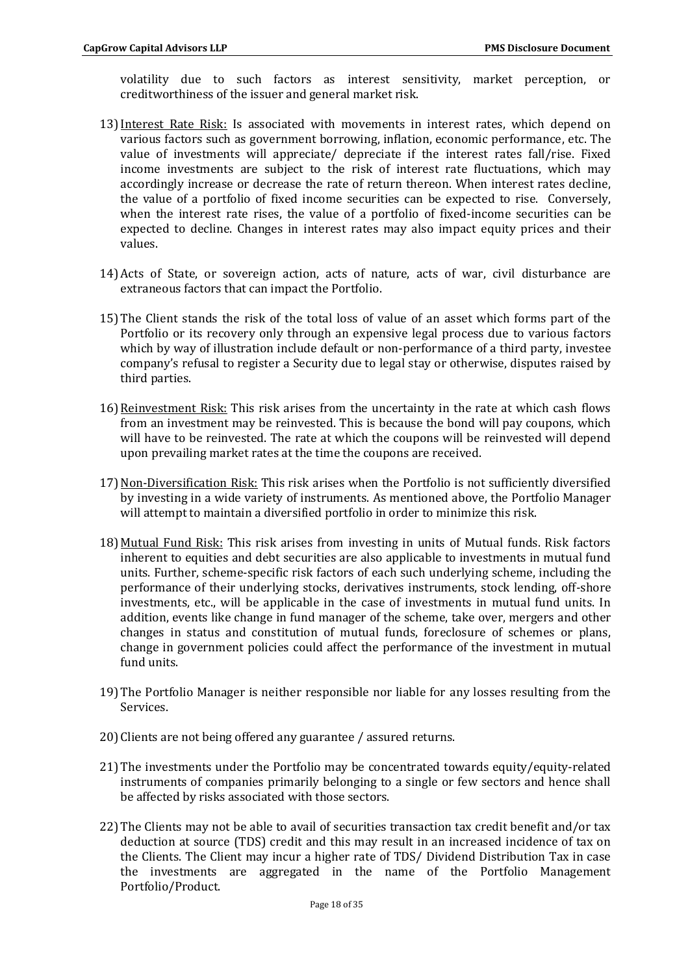volatility due to such factors as interest sensitivity, market perception, or creditworthiness of the issuer and general market risk.

- 13)Interest Rate Risk: Is associated with movements in interest rates, which depend on various factors such as government borrowing, inflation, economic performance, etc. The value of investments will appreciate/ depreciate if the interest rates fall/rise. Fixed income investments are subject to the risk of interest rate fluctuations, which may accordingly increase or decrease the rate of return thereon. When interest rates decline, the value of a portfolio of fixed income securities can be expected to rise. Conversely, when the interest rate rises, the value of a portfolio of fixed-income securities can be expected to decline. Changes in interest rates may also impact equity prices and their values.
- 14)Acts of State, or sovereign action, acts of nature, acts of war, civil disturbance are extraneous factors that can impact the Portfolio.
- 15)The Client stands the risk of the total loss of value of an asset which forms part of the Portfolio or its recovery only through an expensive legal process due to various factors which by way of illustration include default or non-performance of a third party, investee company's refusal to register a Security due to legal stay or otherwise, disputes raised by third parties.
- 16) Reinvestment Risk: This risk arises from the uncertainty in the rate at which cash flows from an investment may be reinvested. This is because the bond will pay coupons, which will have to be reinvested. The rate at which the coupons will be reinvested will depend upon prevailing market rates at the time the coupons are received.
- 17) Non-Diversification Risk: This risk arises when the Portfolio is not sufficiently diversified by investing in a wide variety of instruments. As mentioned above, the Portfolio Manager will attempt to maintain a diversified portfolio in order to minimize this risk.
- 18) Mutual Fund Risk: This risk arises from investing in units of Mutual funds. Risk factors inherent to equities and debt securities are also applicable to investments in mutual fund units. Further, scheme-specific risk factors of each such underlying scheme, including the performance of their underlying stocks, derivatives instruments, stock lending, off-shore investments, etc., will be applicable in the case of investments in mutual fund units. In addition, events like change in fund manager of the scheme, take over, mergers and other changes in status and constitution of mutual funds, foreclosure of schemes or plans, change in government policies could affect the performance of the investment in mutual fund units.
- 19)The Portfolio Manager is neither responsible nor liable for any losses resulting from the Services.
- 20)Clients are not being offered any guarantee / assured returns.
- 21)The investments under the Portfolio may be concentrated towards equity/equity-related instruments of companies primarily belonging to a single or few sectors and hence shall be affected by risks associated with those sectors.
- 22)The Clients may not be able to avail of securities transaction tax credit benefit and/or tax deduction at source (TDS) credit and this may result in an increased incidence of tax on the Clients. The Client may incur a higher rate of TDS/ Dividend Distribution Tax in case the investments are aggregated in the name of the Portfolio Management Portfolio/Product.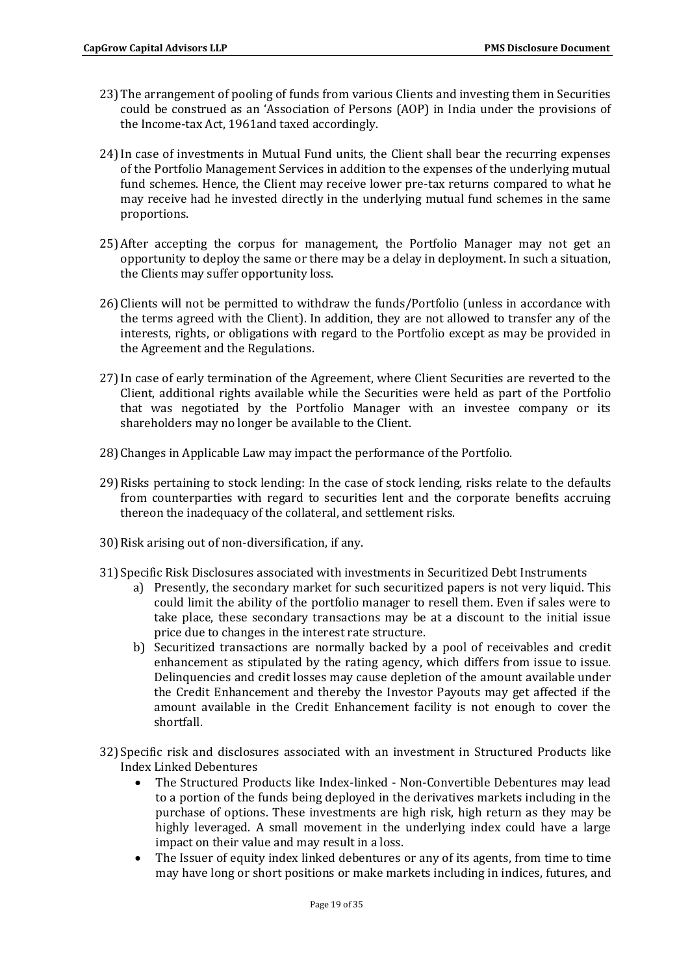- 23)The arrangement of pooling of funds from various Clients and investing them in Securities could be construed as an 'Association of Persons (AOP) in India under the provisions of the Income-tax Act, 1961and taxed accordingly.
- 24)In case of investments in Mutual Fund units, the Client shall bear the recurring expenses of the Portfolio Management Services in addition to the expenses of the underlying mutual fund schemes. Hence, the Client may receive lower pre-tax returns compared to what he may receive had he invested directly in the underlying mutual fund schemes in the same proportions.
- 25)After accepting the corpus for management, the Portfolio Manager may not get an opportunity to deploy the same or there may be a delay in deployment. In such a situation, the Clients may suffer opportunity loss.
- 26)Clients will not be permitted to withdraw the funds/Portfolio (unless in accordance with the terms agreed with the Client). In addition, they are not allowed to transfer any of the interests, rights, or obligations with regard to the Portfolio except as may be provided in the Agreement and the Regulations.
- 27)In case of early termination of the Agreement, where Client Securities are reverted to the Client, additional rights available while the Securities were held as part of the Portfolio that was negotiated by the Portfolio Manager with an investee company or its shareholders may no longer be available to the Client.
- 28)Changes in Applicable Law may impact the performance of the Portfolio.
- 29)Risks pertaining to stock lending: In the case of stock lending, risks relate to the defaults from counterparties with regard to securities lent and the corporate benefits accruing thereon the inadequacy of the collateral, and settlement risks.
- 30)Risk arising out of non-diversification, if any.
- 31) Specific Risk Disclosures associated with investments in Securitized Debt Instruments
	- a) Presently, the secondary market for such securitized papers is not very liquid. This could limit the ability of the portfolio manager to resell them. Even if sales were to take place, these secondary transactions may be at a discount to the initial issue price due to changes in the interest rate structure.
	- b) Securitized transactions are normally backed by a pool of receivables and credit enhancement as stipulated by the rating agency, which differs from issue to issue. Delinquencies and credit losses may cause depletion of the amount available under the Credit Enhancement and thereby the Investor Payouts may get affected if the amount available in the Credit Enhancement facility is not enough to cover the shortfall.
- 32) Specific risk and disclosures associated with an investment in Structured Products like Index Linked Debentures
	- The Structured Products like Index-linked Non-Convertible Debentures may lead to a portion of the funds being deployed in the derivatives markets including in the purchase of options. These investments are high risk, high return as they may be highly leveraged. A small movement in the underlying index could have a large impact on their value and may result in a loss.
	- The Issuer of equity index linked debentures or any of its agents, from time to time may have long or short positions or make markets including in indices, futures, and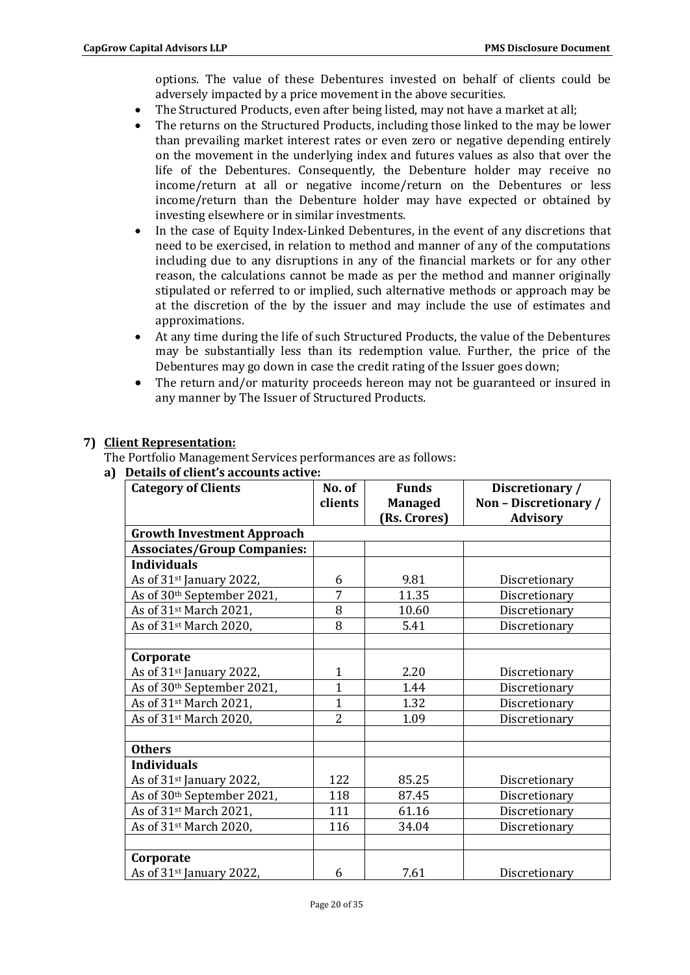options. The value of these Debentures invested on behalf of clients could be adversely impacted by a price movement in the above securities.

- The Structured Products, even after being listed, may not have a market at all;
- The returns on the Structured Products, including those linked to the may be lower than prevailing market interest rates or even zero or negative depending entirely on the movement in the underlying index and futures values as also that over the life of the Debentures. Consequently, the Debenture holder may receive no income/return at all or negative income/return on the Debentures or less income/return than the Debenture holder may have expected or obtained by investing elsewhere or in similar investments.
- In the case of Equity Index-Linked Debentures, in the event of any discretions that need to be exercised, in relation to method and manner of any of the computations including due to any disruptions in any of the financial markets or for any other reason, the calculations cannot be made as per the method and manner originally stipulated or referred to or implied, such alternative methods or approach may be at the discretion of the by the issuer and may include the use of estimates and approximations.
- At any time during the life of such Structured Products, the value of the Debentures may be substantially less than its redemption value. Further, the price of the Debentures may go down in case the credit rating of the Issuer goes down;
- The return and/or maturity proceeds hereon may not be guaranteed or insured in any manner by The Issuer of Structured Products.

# **7) Client Representation:**

The Portfolio Management Services performances are as follows:

| a) Details of client's accounts active: |
|-----------------------------------------|
|-----------------------------------------|

| <b>Category of Clients</b>           | No. of         | <b>Funds</b><br>Discretionary / |                       |
|--------------------------------------|----------------|---------------------------------|-----------------------|
|                                      | clients        | <b>Managed</b>                  | Non - Discretionary / |
|                                      |                | (Rs. Crores)                    | <b>Advisory</b>       |
| <b>Growth Investment Approach</b>    |                |                                 |                       |
| <b>Associates/Group Companies:</b>   |                |                                 |                       |
| <b>Individuals</b>                   |                |                                 |                       |
| As of 31 <sup>st</sup> January 2022, | 6              | 9.81                            | Discretionary         |
| As of 30th September 2021,           | 7              | 11.35                           | Discretionary         |
| As of 31 <sup>st</sup> March 2021,   | 8              | 10.60                           | Discretionary         |
| As of 31 <sup>st</sup> March 2020,   | 8              | 5.41                            | Discretionary         |
|                                      |                |                                 |                       |
| Corporate                            |                |                                 |                       |
| As of 31 <sup>st</sup> January 2022, | 1              | 2.20                            | Discretionary         |
| As of 30th September 2021,           | $\mathbf{1}$   | 1.44                            | Discretionary         |
| As of 31 <sup>st</sup> March 2021,   | $\mathbf{1}$   | 1.32                            | Discretionary         |
| As of 31 <sup>st</sup> March 2020,   | $\overline{2}$ | 1.09                            | Discretionary         |
|                                      |                |                                 |                       |
| <b>Others</b>                        |                |                                 |                       |
| <b>Individuals</b>                   |                |                                 |                       |
| As of 31 <sup>st</sup> January 2022, | 122            | 85.25                           | Discretionary         |
| As of 30th September 2021,           | 118            | 87.45                           | Discretionary         |
| As of 31 <sup>st</sup> March 2021,   | 111            | 61.16                           | Discretionary         |
| As of 31st March 2020,               | 116            | 34.04                           | Discretionary         |
|                                      |                |                                 |                       |
| Corporate                            |                |                                 |                       |
| As of 31 <sup>st</sup> January 2022, | 6              | 7.61                            | Discretionary         |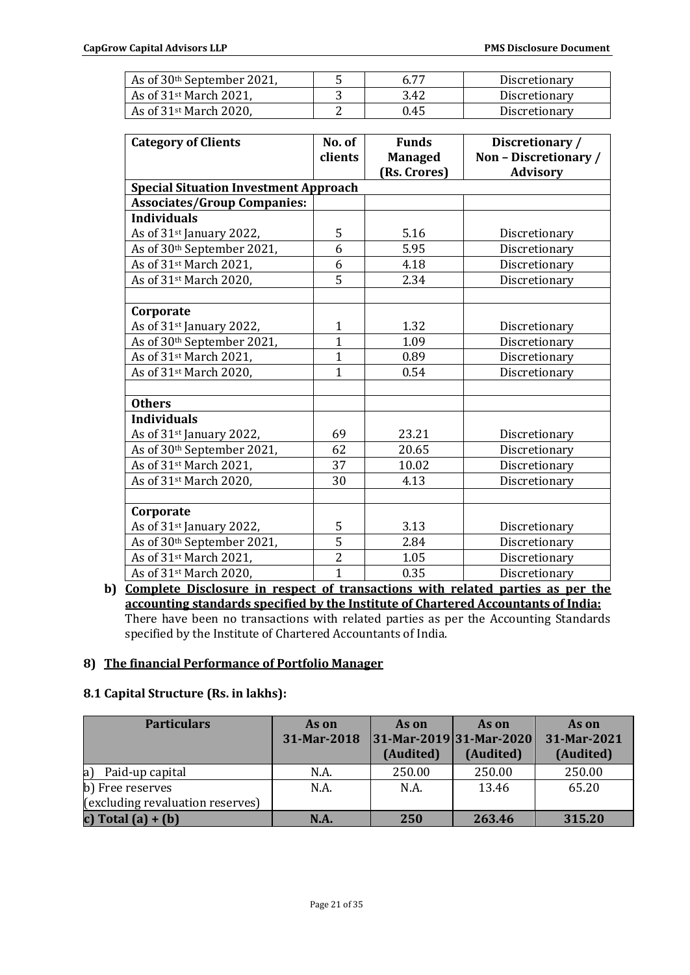| As of 30 <sup>th</sup> September 2021, | 6 77 | Discretionary |
|----------------------------------------|------|---------------|
| As of $31$ <sup>st</sup> March 2021,   | 3.42 | Discretionary |
| As of $31$ <sup>st</sup> March 2020,   | 0.45 | Discretionary |

| <b>Category of Clients</b>                   | No. of         | <b>Funds</b>                   | Discretionary /                          |
|----------------------------------------------|----------------|--------------------------------|------------------------------------------|
|                                              | clients        | <b>Managed</b><br>(Rs. Crores) | Non - Discretionary /<br><b>Advisory</b> |
| <b>Special Situation Investment Approach</b> |                |                                |                                          |
| <b>Associates/Group Companies:</b>           |                |                                |                                          |
| <b>Individuals</b>                           |                |                                |                                          |
| As of 31st January 2022,                     | 5              | 5.16                           | Discretionary                            |
| As of 30th September 2021,                   | 6              | 5.95                           | Discretionary                            |
| As of 31st March 2021,                       | 6              | 4.18                           | Discretionary                            |
| As of 31 <sup>st</sup> March 2020,           | $\overline{5}$ | 2.34                           | Discretionary                            |
|                                              |                |                                |                                          |
| Corporate                                    |                |                                |                                          |
| As of 31 <sup>st</sup> January 2022,         | $\mathbf{1}$   | 1.32                           | Discretionary                            |
| As of 30th September 2021,                   | $\overline{1}$ | 1.09                           | Discretionary                            |
| As of 31 <sup>st</sup> March 2021,           | $\overline{1}$ | 0.89                           | Discretionary                            |
| As of 31 <sup>st</sup> March 2020,           | $\mathbf{1}$   | 0.54                           | Discretionary                            |
|                                              |                |                                |                                          |
| <b>Others</b>                                |                |                                |                                          |
| <b>Individuals</b>                           |                |                                |                                          |
| As of 31st January 2022,                     | 69             | 23.21                          | Discretionary                            |
| As of 30th September 2021,                   | 62             | 20.65                          | Discretionary                            |
| As of 31 <sup>st</sup> March 2021,           | 37             | 10.02                          | Discretionary                            |
| As of 31 <sup>st</sup> March 2020,           | 30             | 4.13                           | Discretionary                            |
|                                              |                |                                |                                          |
| Corporate                                    |                |                                |                                          |
| As of 31 <sup>st</sup> January 2022,         | 5              | 3.13                           | Discretionary                            |
| As of 30th September 2021,                   | $\overline{5}$ | 2.84                           | Discretionary                            |
| As of 31 <sup>st</sup> March 2021,           | $\overline{2}$ | 1.05                           | Discretionary                            |
| As of 31 <sup>st</sup> March 2020,           | $\mathbf{1}$   | 0.35                           | Discretionary                            |

**b) Complete Disclosure in respect of transactions with related parties as per the accounting standards specified by the Institute of Chartered Accountants of India:** There have been no transactions with related parties as per the Accounting Standards specified by the Institute of Chartered Accountants of India.

### **8) The financial Performance of Portfolio Manager**

# **8.1 Capital Structure (Rs. in lakhs):**

| <b>Particulars</b>               | As on       | As on     | As on                       | As on       |
|----------------------------------|-------------|-----------|-----------------------------|-------------|
|                                  | 31-Mar-2018 |           | $ 31-Mar-2019 31-Mar-2020 $ | 31-Mar-2021 |
|                                  |             | (Audited) | (Audited)                   | (Audited)   |
| a <br>Paid-up capital            | N.A.        | 250.00    | 250.00                      | 250.00      |
| b) Free reserves                 | N.A.        | N.A.      | 13.46                       | 65.20       |
| (excluding revaluation reserves) |             |           |                             |             |
| c) Total $(a) + (b)$             | N.A         | 250       | 263.46                      | 315.20      |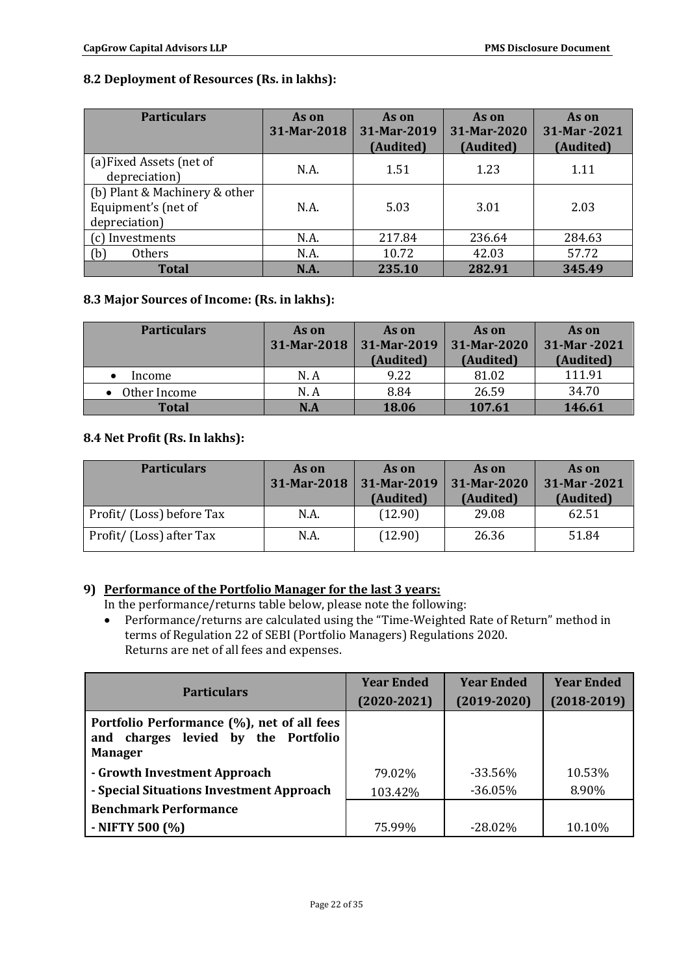# **8.2 Deployment of Resources (Rs. in lakhs):**

| <b>Particulars</b>                                                    | As on<br>31-Mar-2018 | As on<br>31-Mar-2019<br>(Audited) | As on<br>31-Mar-2020<br>(Audited) | As on<br>31-Mar -2021<br>(Audited) |
|-----------------------------------------------------------------------|----------------------|-----------------------------------|-----------------------------------|------------------------------------|
| (a) Fixed Assets (net of<br>depreciation)                             | N.A.                 | 1.51                              | 1.23                              | 1.11                               |
| (b) Plant & Machinery & other<br>Equipment's (net of<br>depreciation) | N.A.                 | 5.03                              | 3.01                              | 2.03                               |
| (c) Investments                                                       | N.A.                 | 217.84                            | 236.64                            | 284.63                             |
| <b>Others</b><br>(b)                                                  | N.A.                 | 10.72                             | 42.03                             | 57.72                              |
| <b>Total</b>                                                          | N.A.                 | 235.10                            | 282.91                            | 345.49                             |

# **8.3 Major Sources of Income: (Rs. in lakhs):**

| <b>Particulars</b> | As on<br>31-Mar-2018 | As on<br>31-Mar-2019<br>(Audited) | As on<br>31-Mar-2020<br>(Audited) | As on<br>31-Mar -2021<br>(Audited) |
|--------------------|----------------------|-----------------------------------|-----------------------------------|------------------------------------|
| Income             | N.A                  | 9.22                              | 81.02                             | 111.91                             |
| Other Income       | N.A                  | 8.84                              | 26.59                             | 34.70                              |
| <b>Total</b>       | N.A                  | 18.06                             | 107.61                            | 146.61                             |

## **8.4 Net Profit (Rs. In lakhs):**

| <b>Particulars</b>        | As on<br>31-Mar-2018 | As on<br>31-Mar-2019<br>(Audited) | As on<br>31-Mar-2020<br>(Audited) | As on<br>31-Mar -2021<br>(Audited) |
|---------------------------|----------------------|-----------------------------------|-----------------------------------|------------------------------------|
| Profit/ (Loss) before Tax | N.A.                 | (12.90)                           | 29.08                             | 62.51                              |
| Profit/ (Loss) after Tax  | N.A.                 | (12.90)                           | 26.36                             | 51.84                              |

# **9) Performance of the Portfolio Manager for the last 3 years:**

In the performance/returns table below, please note the following:

 Performance/returns are calculated using the "Time-Weighted Rate of Return" method in terms of Regulation 22 of SEBI (Portfolio Managers) Regulations 2020. Returns are net of all fees and expenses.

|                                                                                                     | <b>Year Ended</b> | <b>Year Ended</b> | <b>Year Ended</b> |
|-----------------------------------------------------------------------------------------------------|-------------------|-------------------|-------------------|
| <b>Particulars</b>                                                                                  | $(2020 - 2021)$   | $(2019 - 2020)$   | $(2018-2019)$     |
| Portfolio Performance (%), net of all fees<br>and charges levied by the Portfolio<br><b>Manager</b> |                   |                   |                   |
| - Growth Investment Approach                                                                        | 79.02%            | $-33.56\%$        | 10.53%            |
| - Special Situations Investment Approach                                                            | 103.42%           | $-36.05%$         | 8.90%             |
| <b>Benchmark Performance</b>                                                                        |                   |                   |                   |
| $-$ NIFTY 500 $(\% )$                                                                               | 75.99%            | $-28.02\%$        | 10.10%            |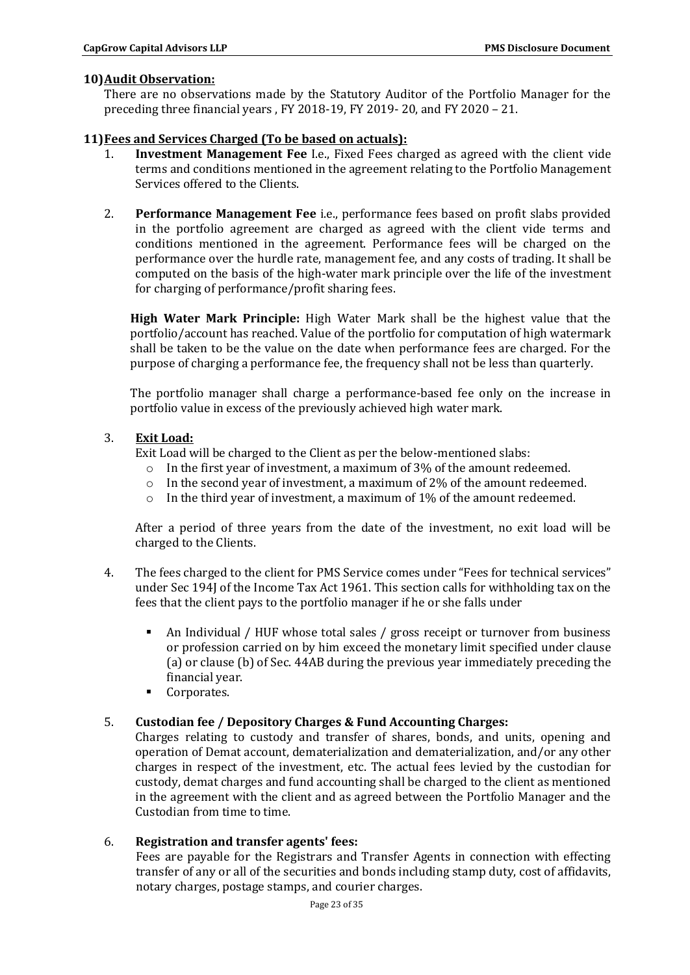### **10)Audit Observation:**

There are no observations made by the Statutory Auditor of the Portfolio Manager for the preceding three financial years , FY 2018-19, FY 2019- 20, and FY 2020 – 21.

# **11)Fees and Services Charged (To be based on actuals):**

- 1. **Investment Management Fee** I.e., Fixed Fees charged as agreed with the client vide terms and conditions mentioned in the agreement relating to the Portfolio Management Services offered to the Clients.
- 2. **Performance Management Fee** i.e., performance fees based on profit slabs provided in the portfolio agreement are charged as agreed with the client vide terms and conditions mentioned in the agreement. Performance fees will be charged on the performance over the hurdle rate, management fee, and any costs of trading. It shall be computed on the basis of the high-water mark principle over the life of the investment for charging of performance/profit sharing fees.

**High Water Mark Principle:** High Water Mark shall be the highest value that the portfolio/account has reached. Value of the portfolio for computation of high watermark shall be taken to be the value on the date when performance fees are charged. For the purpose of charging a performance fee, the frequency shall not be less than quarterly.

The portfolio manager shall charge a performance-based fee only on the increase in portfolio value in excess of the previously achieved high water mark.

## 3. **Exit Load:**

Exit Load will be charged to the Client as per the below-mentioned slabs:

- $\circ$  In the first year of investment, a maximum of 3% of the amount redeemed.
- $\circ$  In the second year of investment, a maximum of 2% of the amount redeemed.
- o In the third year of investment, a maximum of 1% of the amount redeemed.

After a period of three years from the date of the investment, no exit load will be charged to the Clients.

- 4. The fees charged to the client for PMS Service comes under "Fees for technical services" under Sec 194J of the Income Tax Act 1961. This section calls for withholding tax on the fees that the client pays to the portfolio manager if he or she falls under
	- An Individual / HUF whose total sales / gross receipt or turnover from business or profession carried on by him exceed the monetary limit specified under clause (a) or clause (b) of Sec. 44AB during the previous year immediately preceding the financial year.
	- Corporates.

### 5. **Custodian fee / Depository Charges & Fund Accounting Charges:**

Charges relating to custody and transfer of shares, bonds, and units, opening and operation of Demat account, dematerialization and dematerialization, and/or any other charges in respect of the investment, etc. The actual fees levied by the custodian for custody, demat charges and fund accounting shall be charged to the client as mentioned in the agreement with the client and as agreed between the Portfolio Manager and the Custodian from time to time.

### 6. **Registration and transfer agents' fees:**

Fees are payable for the Registrars and Transfer Agents in connection with effecting transfer of any or all of the securities and bonds including stamp duty, cost of affidavits, notary charges, postage stamps, and courier charges.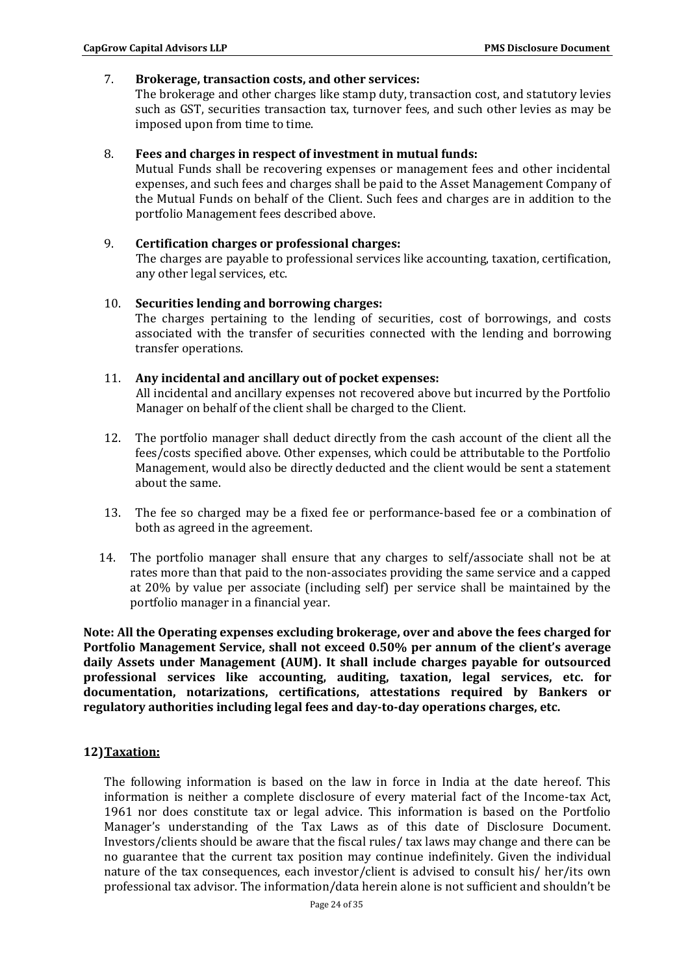#### 7. **Brokerage, transaction costs, and other services:**

The brokerage and other charges like stamp duty, transaction cost, and statutory levies such as GST, securities transaction tax, turnover fees, and such other levies as may be imposed upon from time to time.

#### 8. **Fees and charges in respect of investment in mutual funds:**

Mutual Funds shall be recovering expenses or management fees and other incidental expenses, and such fees and charges shall be paid to the Asset Management Company of the Mutual Funds on behalf of the Client. Such fees and charges are in addition to the portfolio Management fees described above.

- 9. **Certification charges or professional charges:** The charges are payable to professional services like accounting, taxation, certification, any other legal services, etc.
- 10. **Securities lending and borrowing charges:**  The charges pertaining to the lending of securities, cost of borrowings, and costs associated with the transfer of securities connected with the lending and borrowing transfer operations.

#### 11. **Any incidental and ancillary out of pocket expenses:**

All incidental and ancillary expenses not recovered above but incurred by the Portfolio Manager on behalf of the client shall be charged to the Client.

- 12. The portfolio manager shall deduct directly from the cash account of the client all the fees/costs specified above. Other expenses, which could be attributable to the Portfolio Management, would also be directly deducted and the client would be sent a statement about the same.
- 13. The fee so charged may be a fixed fee or performance-based fee or a combination of both as agreed in the agreement.
- 14. The portfolio manager shall ensure that any charges to self/associate shall not be at rates more than that paid to the non-associates providing the same service and a capped at 20% by value per associate (including self) per service shall be maintained by the portfolio manager in a financial year.

**Note: All the Operating expenses excluding brokerage, over and above the fees charged for Portfolio Management Service, shall not exceed 0.50% per annum of the client's average daily Assets under Management (AUM). It shall include charges payable for outsourced professional services like accounting, auditing, taxation, legal services, etc. for documentation, notarizations, certifications, attestations required by Bankers or regulatory authorities including legal fees and day-to-day operations charges, etc.**

### **12)Taxation:**

The following information is based on the law in force in India at the date hereof. This information is neither a complete disclosure of every material fact of the Income-tax Act, 1961 nor does constitute tax or legal advice. This information is based on the Portfolio Manager's understanding of the Tax Laws as of this date of Disclosure Document. Investors/clients should be aware that the fiscal rules/ tax laws may change and there can be no guarantee that the current tax position may continue indefinitely. Given the individual nature of the tax consequences, each investor/client is advised to consult his/ her/its own professional tax advisor. The information/data herein alone is not sufficient and shouldn't be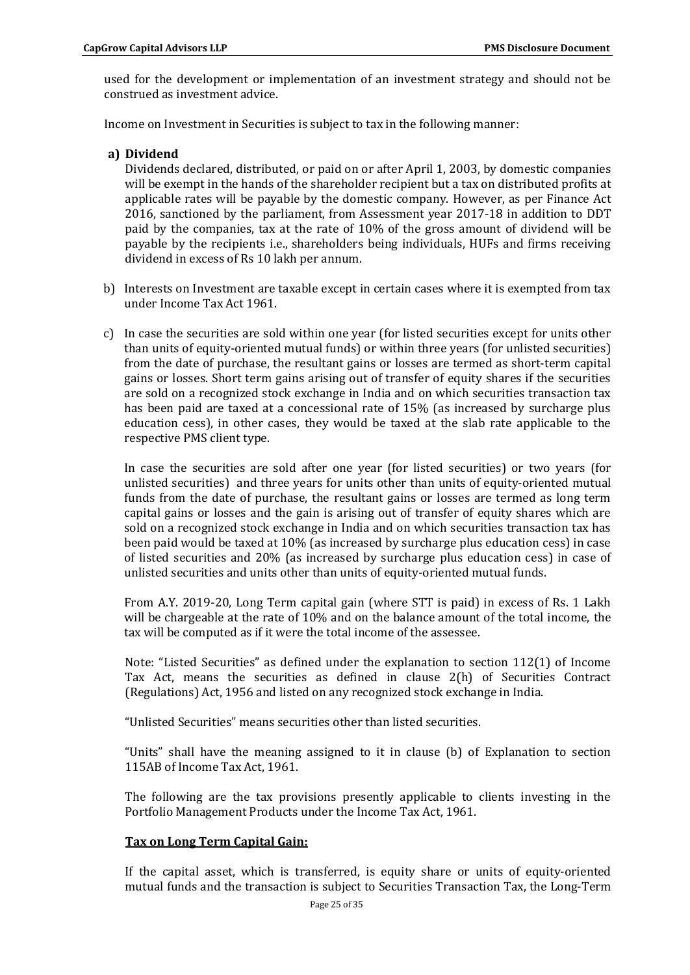used for the development or implementation of an investment strategy and should not be construed as investment advice.

Income on Investment in Securities is subject to tax in the following manner:

**a) Dividend**

Dividends declared, distributed, or paid on or after April 1, 2003, by domestic companies will be exempt in the hands of the shareholder recipient but a tax on distributed profits at applicable rates will be payable by the domestic company. However, as per Finance Act 2016, sanctioned by the parliament, from Assessment year 2017-18 in addition to DDT paid by the companies, tax at the rate of 10% of the gross amount of dividend will be payable by the recipients i.e., shareholders being individuals, HUFs and firms receiving dividend in excess of Rs 10 lakh per annum.

- b) Interests on Investment are taxable except in certain cases where it is exempted from tax under Income Tax Act 1961.
- c) In case the securities are sold within one year (for listed securities except for units other than units of equity-oriented mutual funds) or within three years (for unlisted securities) from the date of purchase, the resultant gains or losses are termed as short-term capital gains or losses. Short term gains arising out of transfer of equity shares if the securities are sold on a recognized stock exchange in India and on which securities transaction tax has been paid are taxed at a concessional rate of 15% (as increased by surcharge plus education cess), in other cases, they would be taxed at the slab rate applicable to the respective PMS client type.

In case the securities are sold after one year (for listed securities) or two years (for unlisted securities) and three years for units other than units of equity-oriented mutual funds from the date of purchase, the resultant gains or losses are termed as long term capital gains or losses and the gain is arising out of transfer of equity shares which are sold on a recognized stock exchange in India and on which securities transaction tax has been paid would be taxed at 10% (as increased by surcharge plus education cess) in case of listed securities and 20% (as increased by surcharge plus education cess) in case of unlisted securities and units other than units of equity-oriented mutual funds.

From A.Y. 2019-20, Long Term capital gain (where STT is paid) in excess of Rs. 1 Lakh will be chargeable at the rate of 10% and on the balance amount of the total income, the tax will be computed as if it were the total income of the assessee.

Note: "Listed Securities" as defined under the explanation to section 112(1) of Income Tax Act, means the securities as defined in clause 2(h) of Securities Contract (Regulations) Act, 1956 and listed on any recognized stock exchange in India.

"Unlisted Securities" means securities other than listed securities.

"Units" shall have the meaning assigned to it in clause (b) of Explanation to section 115AB of Income Tax Act, 1961.

The following are the tax provisions presently applicable to clients investing in the Portfolio Management Products under the Income Tax Act, 1961.

### **Tax on Long Term Capital Gain:**

If the capital asset, which is transferred, is equity share or units of equity-oriented mutual funds and the transaction is subject to Securities Transaction Tax, the Long-Term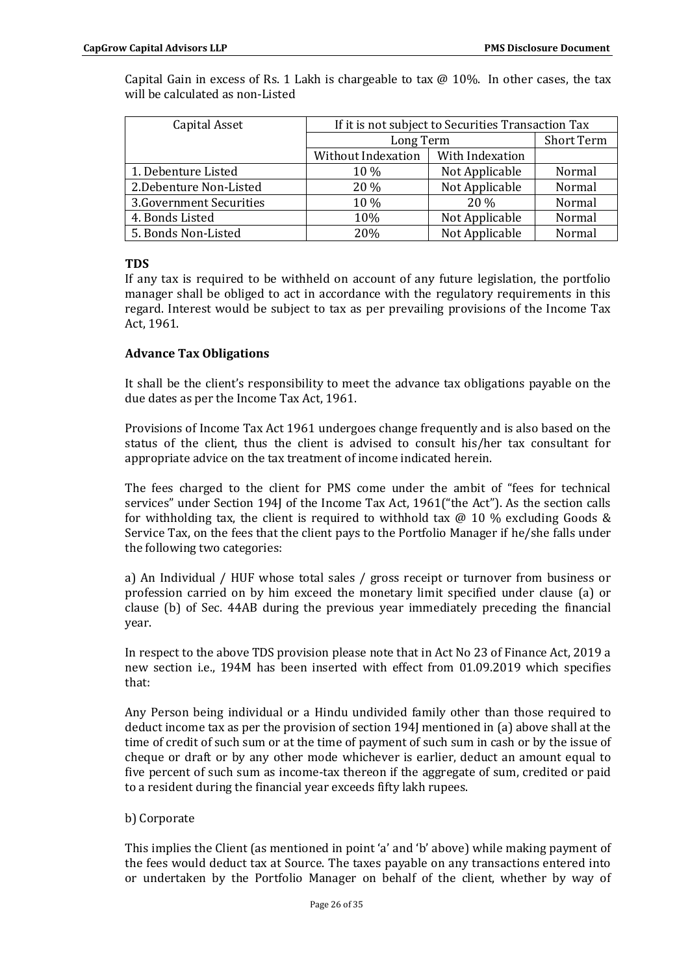| Capital Asset            | If it is not subject to Securities Transaction Tax |                 |                   |
|--------------------------|----------------------------------------------------|-----------------|-------------------|
|                          | Long Term                                          |                 | <b>Short Term</b> |
|                          | Without Indexation                                 | With Indexation |                   |
| 1. Debenture Listed      | 10 %                                               | Not Applicable  | Normal            |
| 2. Debenture Non-Listed  | 20 %                                               | Not Applicable  | Normal            |
| 3. Government Securities | 10 %                                               | 20%             | Normal            |
| 4. Bonds Listed          | 10%                                                | Not Applicable  | Normal            |
| 5. Bonds Non-Listed      | 20%                                                | Not Applicable  | Normal            |

Capital Gain in excess of Rs. 1 Lakh is chargeable to tax  $@$  10%. In other cases, the tax will be calculated as non-Listed

## **TDS**

If any tax is required to be withheld on account of any future legislation, the portfolio manager shall be obliged to act in accordance with the regulatory requirements in this regard. Interest would be subject to tax as per prevailing provisions of the Income Tax Act, 1961.

## **Advance Tax Obligations**

It shall be the client's responsibility to meet the advance tax obligations payable on the due dates as per the Income Tax Act, 1961.

Provisions of Income Tax Act 1961 undergoes change frequently and is also based on the status of the client, thus the client is advised to consult his/her tax consultant for appropriate advice on the tax treatment of income indicated herein.

The fees charged to the client for PMS come under the ambit of "fees for technical services" under Section 194J of the Income Tax Act, 1961("the Act"). As the section calls for withholding tax, the client is required to withhold tax  $\omega$  10 % excluding Goods & Service Tax, on the fees that the client pays to the Portfolio Manager if he/she falls under the following two categories:

a) An Individual / HUF whose total sales / gross receipt or turnover from business or profession carried on by him exceed the monetary limit specified under clause (a) or clause (b) of Sec. 44AB during the previous year immediately preceding the financial year.

In respect to the above TDS provision please note that in Act No 23 of Finance Act, 2019 a new section i.e., 194M has been inserted with effect from 01.09.2019 which specifies that:

Any Person being individual or a Hindu undivided family other than those required to deduct income tax as per the provision of section 194J mentioned in (a) above shall at the time of credit of such sum or at the time of payment of such sum in cash or by the issue of cheque or draft or by any other mode whichever is earlier, deduct an amount equal to five percent of such sum as income-tax thereon if the aggregate of sum, credited or paid to a resident during the financial year exceeds fifty lakh rupees.

### b) Corporate

This implies the Client (as mentioned in point 'a' and 'b' above) while making payment of the fees would deduct tax at Source. The taxes payable on any transactions entered into or undertaken by the Portfolio Manager on behalf of the client, whether by way of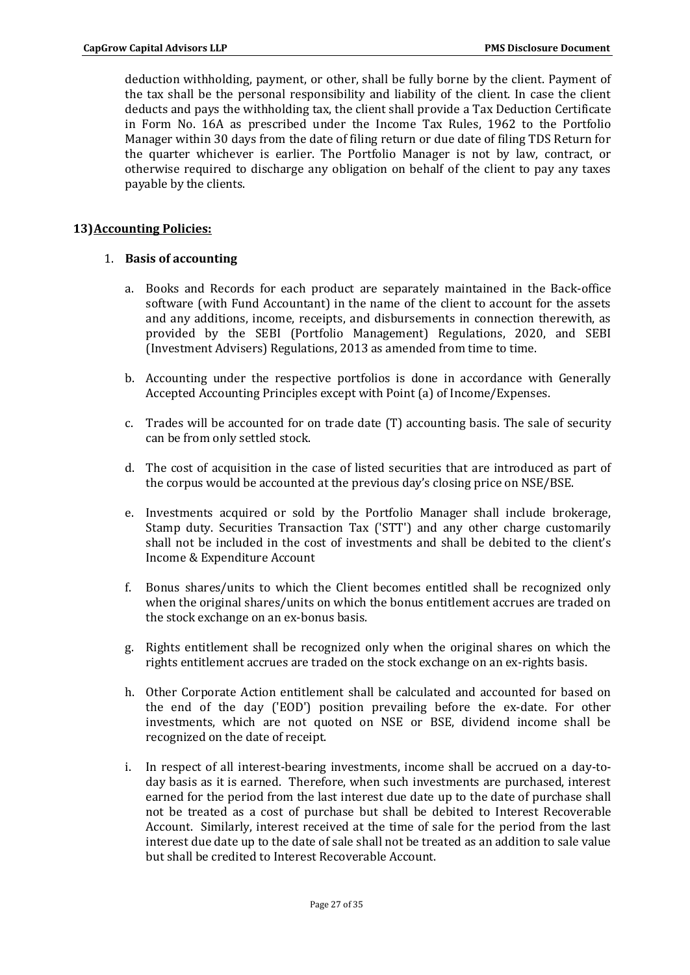deduction withholding, payment, or other, shall be fully borne by the client. Payment of the tax shall be the personal responsibility and liability of the client. In case the client deducts and pays the withholding tax, the client shall provide a Tax Deduction Certificate in Form No. 16A as prescribed under the Income Tax Rules, 1962 to the Portfolio Manager within 30 days from the date of filing return or due date of filing TDS Return for the quarter whichever is earlier. The Portfolio Manager is not by law, contract, or otherwise required to discharge any obligation on behalf of the client to pay any taxes payable by the clients.

## **13)Accounting Policies:**

## 1. **Basis of accounting**

- a. Books and Records for each product are separately maintained in the Back-office software (with Fund Accountant) in the name of the client to account for the assets and any additions, income, receipts, and disbursements in connection therewith, as provided by the SEBI (Portfolio Management) Regulations, 2020, and SEBI (Investment Advisers) Regulations, 2013 as amended from time to time.
- b. Accounting under the respective portfolios is done in accordance with Generally Accepted Accounting Principles except with Point (a) of Income/Expenses.
- c. Trades will be accounted for on trade date (T) accounting basis. The sale of security can be from only settled stock.
- d. The cost of acquisition in the case of listed securities that are introduced as part of the corpus would be accounted at the previous day's closing price on NSE/BSE.
- e. Investments acquired or sold by the Portfolio Manager shall include brokerage, Stamp duty. Securities Transaction Tax ('STT') and any other charge customarily shall not be included in the cost of investments and shall be debited to the client's Income & Expenditure Account
- f. Bonus shares/units to which the Client becomes entitled shall be recognized only when the original shares/units on which the bonus entitlement accrues are traded on the stock exchange on an ex-bonus basis.
- g. Rights entitlement shall be recognized only when the original shares on which the rights entitlement accrues are traded on the stock exchange on an ex-rights basis.
- h. Other Corporate Action entitlement shall be calculated and accounted for based on the end of the day ('EOD') position prevailing before the ex-date. For other investments, which are not quoted on NSE or BSE, dividend income shall be recognized on the date of receipt.
- i. In respect of all interest-bearing investments, income shall be accrued on a day-today basis as it is earned. Therefore, when such investments are purchased, interest earned for the period from the last interest due date up to the date of purchase shall not be treated as a cost of purchase but shall be debited to Interest Recoverable Account. Similarly, interest received at the time of sale for the period from the last interest due date up to the date of sale shall not be treated as an addition to sale value but shall be credited to Interest Recoverable Account.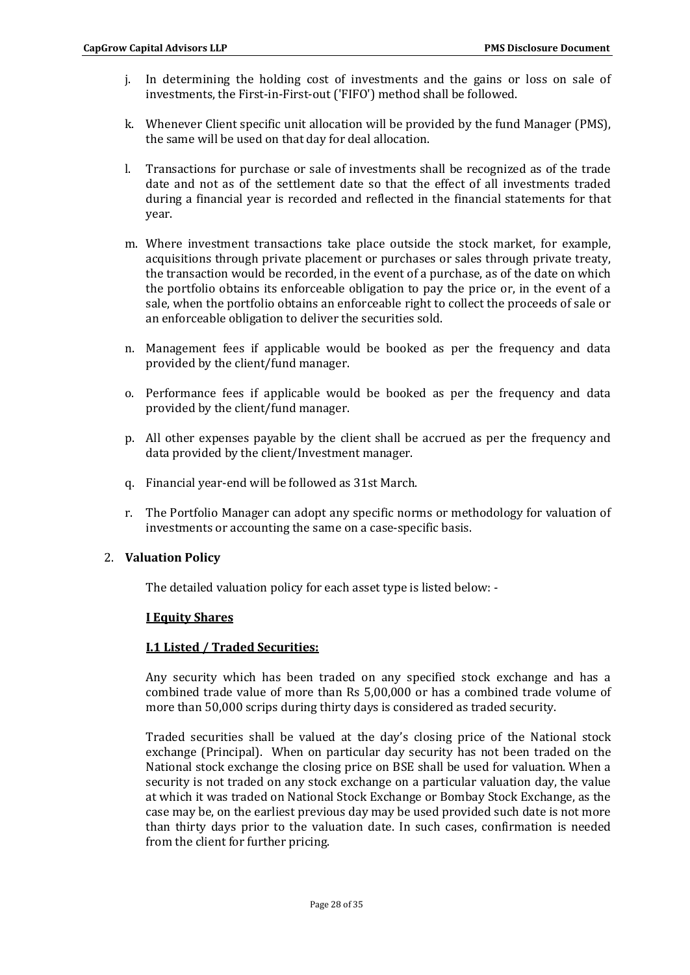- j. In determining the holding cost of investments and the gains or loss on sale of investments, the First-in-First-out ('FIFO') method shall be followed.
- k. Whenever Client specific unit allocation will be provided by the fund Manager (PMS), the same will be used on that day for deal allocation.
- l. Transactions for purchase or sale of investments shall be recognized as of the trade date and not as of the settlement date so that the effect of all investments traded during a financial year is recorded and reflected in the financial statements for that year.
- m. Where investment transactions take place outside the stock market, for example, acquisitions through private placement or purchases or sales through private treaty, the transaction would be recorded, in the event of a purchase, as of the date on which the portfolio obtains its enforceable obligation to pay the price or, in the event of a sale, when the portfolio obtains an enforceable right to collect the proceeds of sale or an enforceable obligation to deliver the securities sold.
- n. Management fees if applicable would be booked as per the frequency and data provided by the client/fund manager.
- o. Performance fees if applicable would be booked as per the frequency and data provided by the client/fund manager.
- p. All other expenses payable by the client shall be accrued as per the frequency and data provided by the client/Investment manager.
- q. Financial year-end will be followed as 31st March.
- r. The Portfolio Manager can adopt any specific norms or methodology for valuation of investments or accounting the same on a case-specific basis.

# 2. **Valuation Policy**

The detailed valuation policy for each asset type is listed below: -

### **I Equity Shares**

# **I.1 Listed / Traded Securities:**

Any security which has been traded on any specified stock exchange and has a combined trade value of more than Rs 5,00,000 or has a combined trade volume of more than 50,000 scrips during thirty days is considered as traded security.

Traded securities shall be valued at the day's closing price of the National stock exchange (Principal). When on particular day security has not been traded on the National stock exchange the closing price on BSE shall be used for valuation. When a security is not traded on any stock exchange on a particular valuation day, the value at which it was traded on National Stock Exchange or Bombay Stock Exchange, as the case may be, on the earliest previous day may be used provided such date is not more than thirty days prior to the valuation date. In such cases, confirmation is needed from the client for further pricing.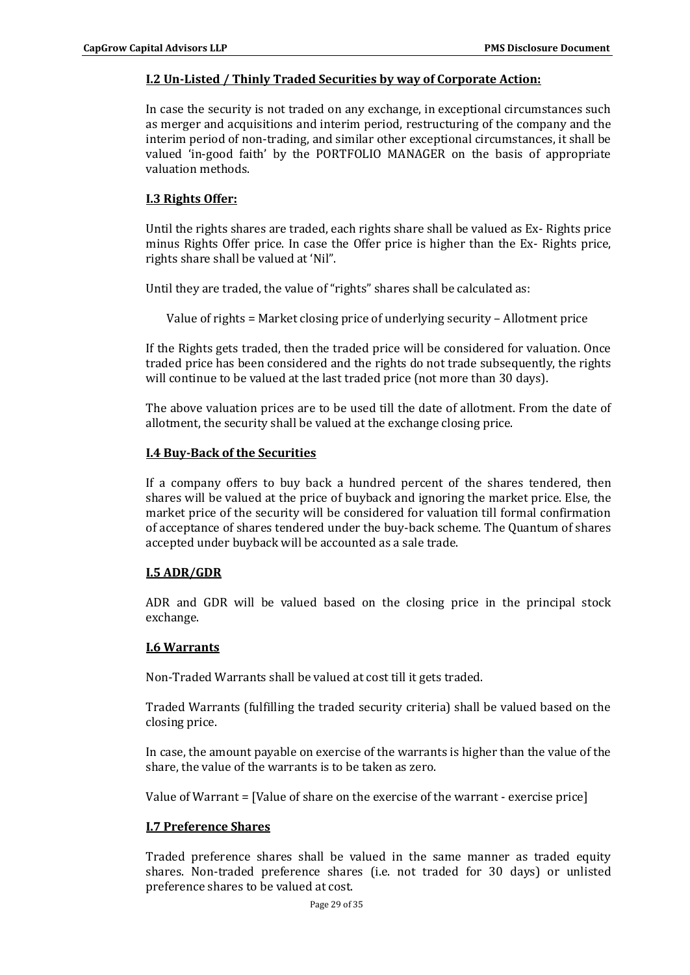### **I.2 Un-Listed / Thinly Traded Securities by way of Corporate Action:**

In case the security is not traded on any exchange, in exceptional circumstances such as merger and acquisitions and interim period, restructuring of the company and the interim period of non-trading, and similar other exceptional circumstances, it shall be valued 'in-good faith' by the PORTFOLIO MANAGER on the basis of appropriate valuation methods.

## **I.3 Rights Offer:**

Until the rights shares are traded, each rights share shall be valued as Ex- Rights price minus Rights Offer price. In case the Offer price is higher than the Ex- Rights price, rights share shall be valued at 'Nil".

Until they are traded, the value of "rights" shares shall be calculated as:

Value of rights = Market closing price of underlying security – Allotment price

If the Rights gets traded, then the traded price will be considered for valuation. Once traded price has been considered and the rights do not trade subsequently, the rights will continue to be valued at the last traded price (not more than 30 days).

The above valuation prices are to be used till the date of allotment. From the date of allotment, the security shall be valued at the exchange closing price.

### **I.4 Buy-Back of the Securities**

If a company offers to buy back a hundred percent of the shares tendered, then shares will be valued at the price of buyback and ignoring the market price. Else, the market price of the security will be considered for valuation till formal confirmation of acceptance of shares tendered under the buy-back scheme. The Quantum of shares accepted under buyback will be accounted as a sale trade.

### **I.5 ADR/GDR**

ADR and GDR will be valued based on the closing price in the principal stock exchange.

### **I.6 Warrants**

Non-Traded Warrants shall be valued at cost till it gets traded.

Traded Warrants (fulfilling the traded security criteria) shall be valued based on the closing price.

In case, the amount payable on exercise of the warrants is higher than the value of the share, the value of the warrants is to be taken as zero.

Value of Warrant = [Value of share on the exercise of the warrant - exercise price]

### **I.7 Preference Shares**

Traded preference shares shall be valued in the same manner as traded equity shares. Non-traded preference shares (i.e. not traded for 30 days) or unlisted preference shares to be valued at cost.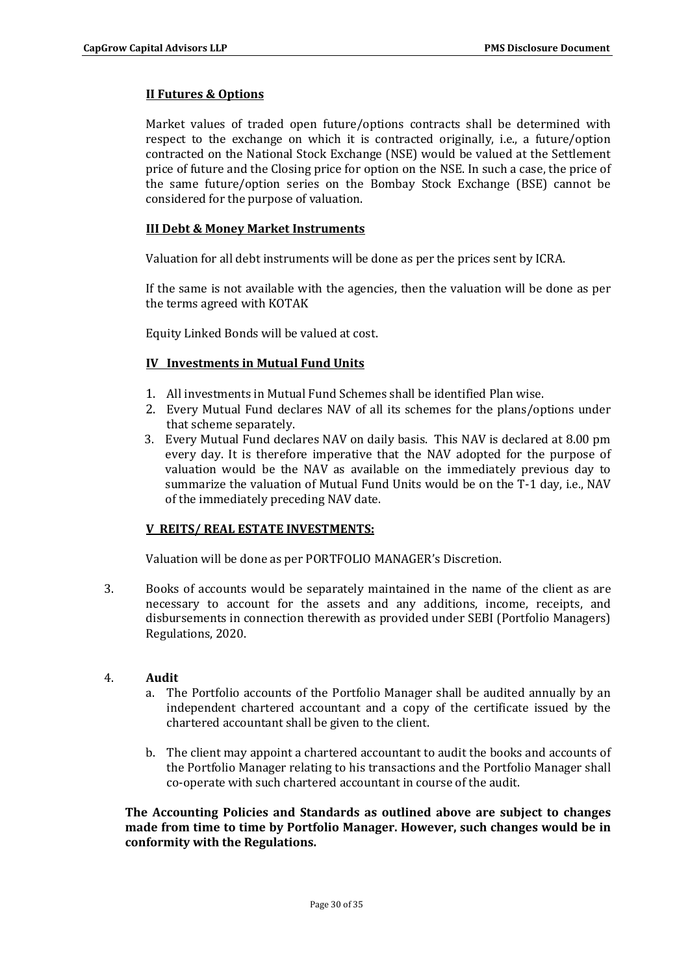# **II Futures & Options**

Market values of traded open future/options contracts shall be determined with respect to the exchange on which it is contracted originally, i.e., a future/option contracted on the National Stock Exchange (NSE) would be valued at the Settlement price of future and the Closing price for option on the NSE. In such a case, the price of the same future/option series on the Bombay Stock Exchange (BSE) cannot be considered for the purpose of valuation.

# **III Debt & Money Market Instruments**

Valuation for all debt instruments will be done as per the prices sent by ICRA.

If the same is not available with the agencies, then the valuation will be done as per the terms agreed with KOTAK

Equity Linked Bonds will be valued at cost.

# **IV Investments in Mutual Fund Units**

- 1. All investments in Mutual Fund Schemes shall be identified Plan wise.
- 2. Every Mutual Fund declares NAV of all its schemes for the plans/options under that scheme separately.
- 3. Every Mutual Fund declares NAV on daily basis. This NAV is declared at 8.00 pm every day. It is therefore imperative that the NAV adopted for the purpose of valuation would be the NAV as available on the immediately previous day to summarize the valuation of Mutual Fund Units would be on the T-1 day, i.e., NAV of the immediately preceding NAV date.

# **V REITS/ REAL ESTATE INVESTMENTS:**

Valuation will be done as per PORTFOLIO MANAGER's Discretion.

3. Books of accounts would be separately maintained in the name of the client as are necessary to account for the assets and any additions, income, receipts, and disbursements in connection therewith as provided under SEBI (Portfolio Managers) Regulations, 2020.

# 4. **Audit**

- a. The Portfolio accounts of the Portfolio Manager shall be audited annually by an independent chartered accountant and a copy of the certificate issued by the chartered accountant shall be given to the client.
- b. The client may appoint a chartered accountant to audit the books and accounts of the Portfolio Manager relating to his transactions and the Portfolio Manager shall co-operate with such chartered accountant in course of the audit.

**The Accounting Policies and Standards as outlined above are subject to changes made from time to time by Portfolio Manager. However, such changes would be in conformity with the Regulations.**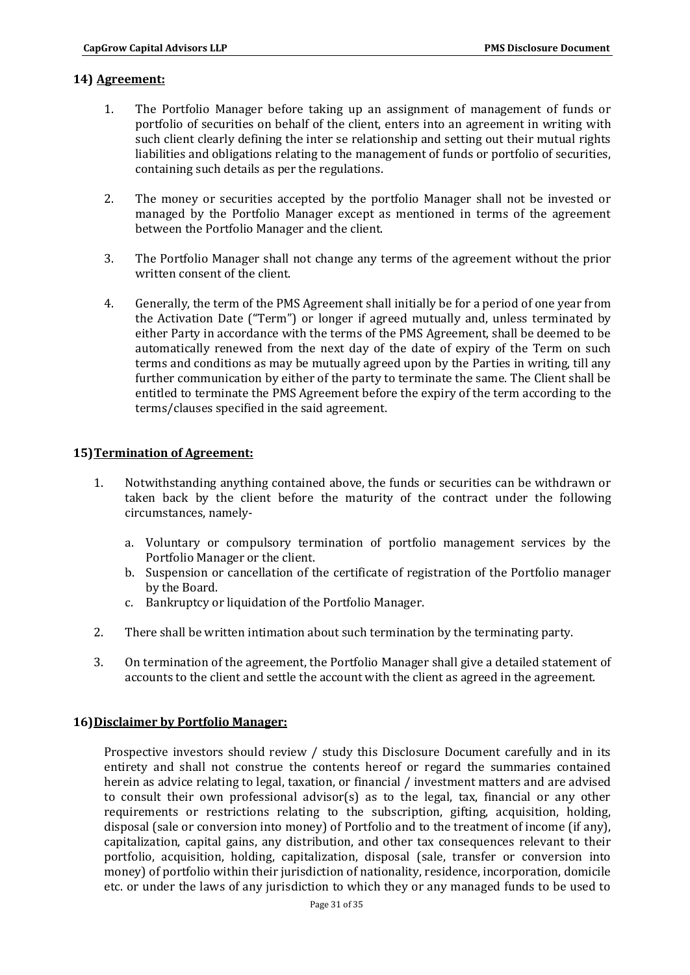### **14) Agreement:**

- 1. The Portfolio Manager before taking up an assignment of management of funds or portfolio of securities on behalf of the client, enters into an agreement in writing with such client clearly defining the inter se relationship and setting out their mutual rights liabilities and obligations relating to the management of funds or portfolio of securities, containing such details as per the regulations.
- 2. The money or securities accepted by the portfolio Manager shall not be invested or managed by the Portfolio Manager except as mentioned in terms of the agreement between the Portfolio Manager and the client.
- 3. The Portfolio Manager shall not change any terms of the agreement without the prior written consent of the client.
- 4. Generally, the term of the PMS Agreement shall initially be for a period of one year from the Activation Date ("Term") or longer if agreed mutually and, unless terminated by either Party in accordance with the terms of the PMS Agreement, shall be deemed to be automatically renewed from the next day of the date of expiry of the Term on such terms and conditions as may be mutually agreed upon by the Parties in writing, till any further communication by either of the party to terminate the same. The Client shall be entitled to terminate the PMS Agreement before the expiry of the term according to the terms/clauses specified in the said agreement.

## **15)Termination of Agreement:**

- 1. Notwithstanding anything contained above, the funds or securities can be withdrawn or taken back by the client before the maturity of the contract under the following circumstances, namely
	- a. Voluntary or compulsory termination of portfolio management services by the Portfolio Manager or the client.
	- b. Suspension or cancellation of the certificate of registration of the Portfolio manager by the Board.
	- c. Bankruptcy or liquidation of the Portfolio Manager.
- 2. There shall be written intimation about such termination by the terminating party.
- 3. On termination of the agreement, the Portfolio Manager shall give a detailed statement of accounts to the client and settle the account with the client as agreed in the agreement.

# **16)Disclaimer by Portfolio Manager:**

Prospective investors should review / study this Disclosure Document carefully and in its entirety and shall not construe the contents hereof or regard the summaries contained herein as advice relating to legal, taxation, or financial / investment matters and are advised to consult their own professional advisor(s) as to the legal, tax, financial or any other requirements or restrictions relating to the subscription, gifting, acquisition, holding, disposal (sale or conversion into money) of Portfolio and to the treatment of income (if any), capitalization, capital gains, any distribution, and other tax consequences relevant to their portfolio, acquisition, holding, capitalization, disposal (sale, transfer or conversion into money) of portfolio within their jurisdiction of nationality, residence, incorporation, domicile etc. or under the laws of any jurisdiction to which they or any managed funds to be used to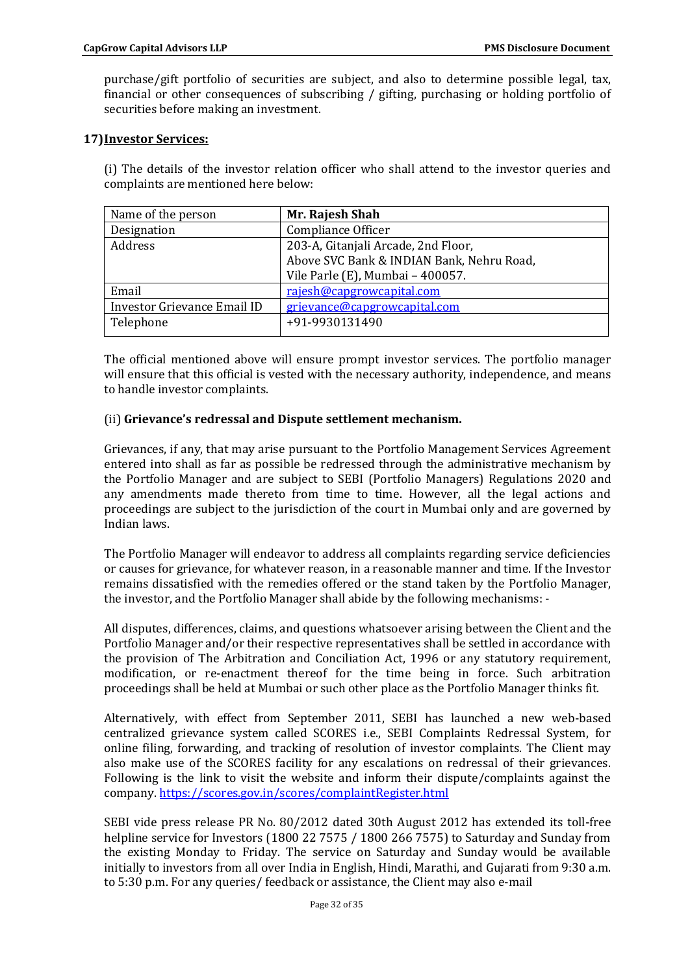purchase/gift portfolio of securities are subject, and also to determine possible legal, tax, financial or other consequences of subscribing / gifting, purchasing or holding portfolio of securities before making an investment.

### **17)Investor Services:**

(i) The details of the investor relation officer who shall attend to the investor queries and complaints are mentioned here below:

| Name of the person                 | Mr. Rajesh Shah                           |
|------------------------------------|-------------------------------------------|
| Designation                        | Compliance Officer                        |
| Address                            | 203-A, Gitanjali Arcade, 2nd Floor,       |
|                                    | Above SVC Bank & INDIAN Bank, Nehru Road, |
|                                    | Vile Parle (E), Mumbai - 400057.          |
| Email                              | rajesh@capgrowcapital.com                 |
| <b>Investor Grievance Email ID</b> | grievance@capgrowcapital.com              |
| Telephone                          | +91-9930131490                            |
|                                    |                                           |

The official mentioned above will ensure prompt investor services. The portfolio manager will ensure that this official is vested with the necessary authority, independence, and means to handle investor complaints.

## (ii) **Grievance's redressal and Dispute settlement mechanism.**

Grievances, if any, that may arise pursuant to the Portfolio Management Services Agreement entered into shall as far as possible be redressed through the administrative mechanism by the Portfolio Manager and are subject to SEBI (Portfolio Managers) Regulations 2020 and any amendments made thereto from time to time. However, all the legal actions and proceedings are subject to the jurisdiction of the court in Mumbai only and are governed by Indian laws.

The Portfolio Manager will endeavor to address all complaints regarding service deficiencies or causes for grievance, for whatever reason, in a reasonable manner and time. If the Investor remains dissatisfied with the remedies offered or the stand taken by the Portfolio Manager, the investor, and the Portfolio Manager shall abide by the following mechanisms: -

All disputes, differences, claims, and questions whatsoever arising between the Client and the Portfolio Manager and/or their respective representatives shall be settled in accordance with the provision of The Arbitration and Conciliation Act, 1996 or any statutory requirement, modification, or re-enactment thereof for the time being in force. Such arbitration proceedings shall be held at Mumbai or such other place as the Portfolio Manager thinks fit.

Alternatively, with effect from September 2011, SEBI has launched a new web-based centralized grievance system called SCORES i.e., SEBI Complaints Redressal System, for online filing, forwarding, and tracking of resolution of investor complaints. The Client may also make use of the SCORES facility for any escalations on redressal of their grievances. Following is the link to visit the website and inform their dispute/complaints against the company. https://scores.gov.in/scores/complaintRegister.html

SEBI vide press release PR No. 80/2012 dated 30th August 2012 has extended its toll-free helpline service for Investors (1800 22 7575 / 1800 266 7575) to Saturday and Sunday from the existing Monday to Friday. The service on Saturday and Sunday would be available initially to investors from all over India in English, Hindi, Marathi, and Gujarati from 9:30 a.m. to 5:30 p.m. For any queries/ feedback or assistance, the Client may also e-mail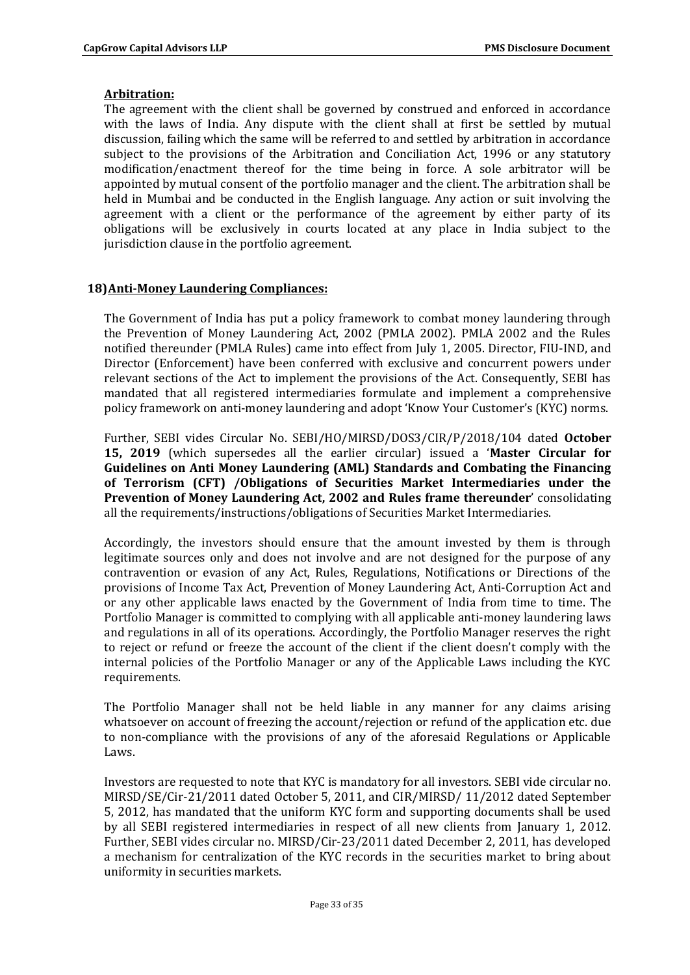## **Arbitration:**

The agreement with the client shall be governed by construed and enforced in accordance with the laws of India. Any dispute with the client shall at first be settled by mutual discussion, failing which the same will be referred to and settled by arbitration in accordance subject to the provisions of the Arbitration and Conciliation Act, 1996 or any statutory modification/enactment thereof for the time being in force. A sole arbitrator will be appointed by mutual consent of the portfolio manager and the client. The arbitration shall be held in Mumbai and be conducted in the English language. Any action or suit involving the agreement with a client or the performance of the agreement by either party of its obligations will be exclusively in courts located at any place in India subject to the jurisdiction clause in the portfolio agreement.

# **18)Anti-Money Laundering Compliances:**

The Government of India has put a policy framework to combat money laundering through the Prevention of Money Laundering Act, 2002 (PMLA 2002). PMLA 2002 and the Rules notified thereunder (PMLA Rules) came into effect from July 1, 2005. Director, FIU-IND, and Director (Enforcement) have been conferred with exclusive and concurrent powers under relevant sections of the Act to implement the provisions of the Act. Consequently, SEBI has mandated that all registered intermediaries formulate and implement a comprehensive policy framework on anti-money laundering and adopt 'Know Your Customer's (KYC) norms.

Further, SEBI vides Circular No. SEBI/HO/MIRSD/DOS3/CIR/P/2018/104 dated **October 15, 2019** (which supersedes all the earlier circular) issued a '**Master Circular for Guidelines on Anti Money Laundering (AML) Standards and Combating the Financing of Terrorism (CFT) /Obligations of Securities Market Intermediaries under the Prevention of Money Laundering Act, 2002 and Rules frame thereunder**' consolidating all the requirements/instructions/obligations of Securities Market Intermediaries.

Accordingly, the investors should ensure that the amount invested by them is through legitimate sources only and does not involve and are not designed for the purpose of any contravention or evasion of any Act, Rules, Regulations, Notifications or Directions of the provisions of Income Tax Act, Prevention of Money Laundering Act, Anti-Corruption Act and or any other applicable laws enacted by the Government of India from time to time. The Portfolio Manager is committed to complying with all applicable anti-money laundering laws and regulations in all of its operations. Accordingly, the Portfolio Manager reserves the right to reject or refund or freeze the account of the client if the client doesn't comply with the internal policies of the Portfolio Manager or any of the Applicable Laws including the KYC requirements.

The Portfolio Manager shall not be held liable in any manner for any claims arising whatsoever on account of freezing the account/rejection or refund of the application etc. due to non-compliance with the provisions of any of the aforesaid Regulations or Applicable Laws.

Investors are requested to note that KYC is mandatory for all investors. SEBI vide circular no. MIRSD/SE/Cir-21/2011 dated October 5, 2011, and CIR/MIRSD/ 11/2012 dated September 5, 2012, has mandated that the uniform KYC form and supporting documents shall be used by all SEBI registered intermediaries in respect of all new clients from January 1, 2012. Further, SEBI vides circular no. MIRSD/Cir-23/2011 dated December 2, 2011, has developed a mechanism for centralization of the KYC records in the securities market to bring about uniformity in securities markets.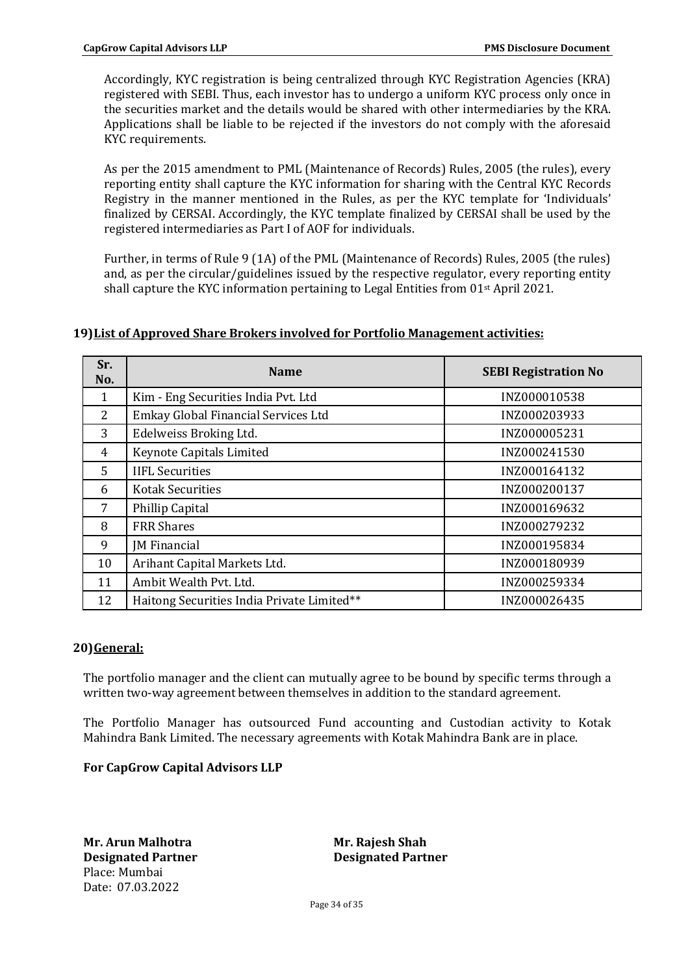Accordingly, KYC registration is being centralized through KYC Registration Agencies (KRA) registered with SEBI. Thus, each investor has to undergo a uniform KYC process only once in the securities market and the details would be shared with other intermediaries by the KRA. Applications shall be liable to be rejected if the investors do not comply with the aforesaid KYC requirements.

As per the 2015 amendment to PML (Maintenance of Records) Rules, 2005 (the rules), every reporting entity shall capture the KYC information for sharing with the Central KYC Records Registry in the manner mentioned in the Rules, as per the KYC template for 'Individuals' finalized by CERSAI. Accordingly, the KYC template finalized by CERSAI shall be used by the registered intermediaries as Part I of AOF for individuals.

Further, in terms of Rule 9 (1A) of the PML (Maintenance of Records) Rules, 2005 (the rules) and, as per the circular/guidelines issued by the respective regulator, every reporting entity shall capture the KYC information pertaining to Legal Entities from 01st April 2021.

| Sr.<br>No.     | <b>Name</b>                                | <b>SEBI Registration No</b> |
|----------------|--------------------------------------------|-----------------------------|
| 1              | Kim - Eng Securities India Pvt. Ltd        | INZ000010538                |
| 2              | Emkay Global Financial Services Ltd        | INZ000203933                |
| 3              | Edelweiss Broking Ltd.                     | INZ000005231                |
| $\overline{4}$ | Keynote Capitals Limited                   | INZ000241530                |
| 5              | <b>IIFL Securities</b>                     | INZ000164132                |
| 6              | <b>Kotak Securities</b>                    | INZ000200137                |
| $7^{\circ}$    | Phillip Capital                            | INZ000169632                |
| 8              | <b>FRR Shares</b>                          | INZ000279232                |
| 9              | <b>JM</b> Financial                        | INZ000195834                |
| 10             | Arihant Capital Markets Ltd.               | INZ000180939                |
| 11             | Ambit Wealth Pvt. Ltd.                     | INZ000259334                |
| 12             | Haitong Securities India Private Limited** | INZ000026435                |

### **19)List of Approved Share Brokers involved for Portfolio Management activities:**

### **20)General:**

The portfolio manager and the client can mutually agree to be bound by specific terms through a written two-way agreement between themselves in addition to the standard agreement.

The Portfolio Manager has outsourced Fund accounting and Custodian activity to Kotak Mahindra Bank Limited. The necessary agreements with Kotak Mahindra Bank are in place.

### **For CapGrow Capital Advisors LLP**

**Mr. Arun Malhotra Mr. Rajesh Shah Designated Partner Sexually Resignated Partner Resignated Partner** Place: Mumbai Date: 07.03.2022